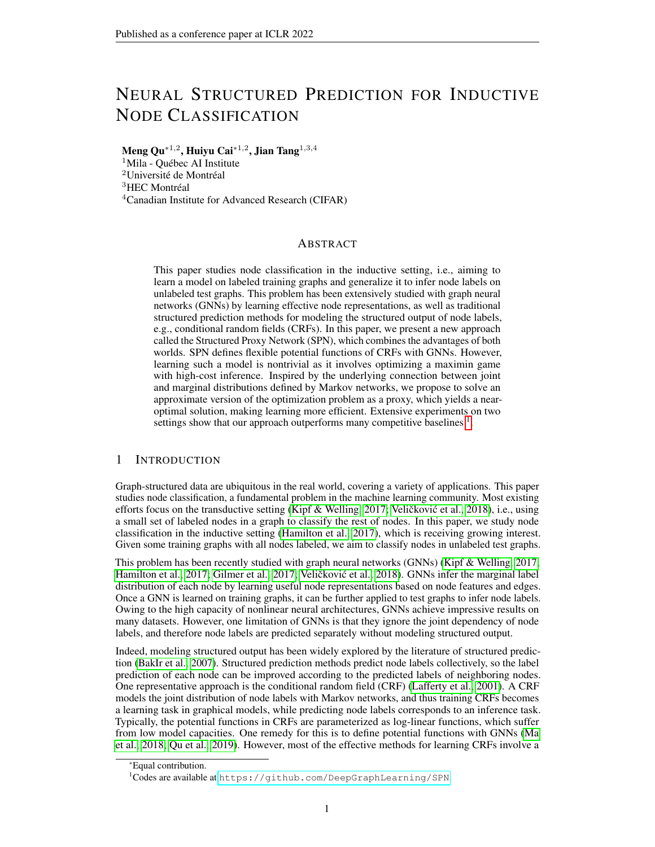# NEURAL STRUCTURED PREDICTION FOR INDUCTIVE NODE CLASSIFICATION

Meng Qu $^{\ast1,2}$ , Huiyu Cai $^{\ast1,2}$ , Jian Tang $^{1,3,4}$ 

Mila - Québec AI Institute Université de Montréal  ${}^{3}$ HEC Montréal Canadian Institute for Advanced Research (CIFAR)

#### ABSTRACT

This paper studies node classification in the inductive setting, i.e., aiming to learn a model on labeled training graphs and generalize it to infer node labels on unlabeled test graphs. This problem has been extensively studied with graph neural networks (GNNs) by learning effective node representations, as well as traditional structured prediction methods for modeling the structured output of node labels, e.g., conditional random fields (CRFs). In this paper, we present a new approach called the Structured Proxy Network (SPN), which combines the advantages of both worlds. SPN defines flexible potential functions of CRFs with GNNs. However, learning such a model is nontrivial as it involves optimizing a maximin game with high-cost inference. Inspired by the underlying connection between joint and marginal distributions defined by Markov networks, we propose to solve an approximate version of the optimization problem as a proxy, which yields a nearoptimal solution, making learning more efficient. Extensive experiments on two settings show that our approach outperforms many competitive baselines  $<sup>1</sup>$  $<sup>1</sup>$  $<sup>1</sup>$ .</sup>

## 1 INTRODUCTION

Graph-structured data are ubiquitous in the real world, covering a variety of applications. This paper studies node classification, a fundamental problem in the machine learning community. Most existing efforts focus on the transductive setting [\(Kipf & Welling, 2017;](#page-9-0) Veličković et al., [2018\)](#page-10-0), i.e., using a small set of labeled nodes in a graph to classify the rest of nodes. In this paper, we study node classification in the inductive setting [\(Hamilton et al., 2017\)](#page-9-1), which is receiving growing interest. Given some training graphs with all nodes labeled, we aim to classify nodes in unlabeled test graphs.

This problem has been recently studied with graph neural networks (GNNs) [\(Kipf & Welling, 2017;](#page-9-0) [Hamilton et al., 2017;](#page-9-1) [Gilmer et al., 2017;](#page-9-2) Veličković et al., [2018\)](#page-10-0). GNNs infer the marginal label distribution of each node by learning useful node representations based on node features and edges. Once a GNN is learned on training graphs, it can be further applied to test graphs to infer node labels. Owing to the high capacity of nonlinear neural architectures, GNNs achieve impressive results on many datasets. However, one limitation of GNNs is that they ignore the joint dependency of node labels, and therefore node labels are predicted separately without modeling structured output.

Indeed, modeling structured output has been widely explored by the literature of structured prediction [\(BakIr et al., 2007\)](#page-9-3). Structured prediction methods predict node labels collectively, so the label prediction of each node can be improved according to the predicted labels of neighboring nodes. One representative approach is the conditional random field (CRF) [\(Lafferty et al., 2001\)](#page-9-4). A CRF models the joint distribution of node labels with Markov networks, and thus training CRFs becomes a learning task in graphical models, while predicting node labels corresponds to an inference task. Typically, the potential functions in CRFs are parameterized as log-linear functions, which suffer from low model capacities. One remedy for this is to define potential functions with GNNs [\(Ma](#page-10-1) [et al., 2018;](#page-10-1) [Qu et al., 2019\)](#page-10-2). However, most of the effective methods for learning CRFs involve a

<sup>\*</sup>Equal contribution.

<span id="page-0-0"></span><sup>1</sup>Codes are available at <https://github.com/DeepGraphLearning/SPN>.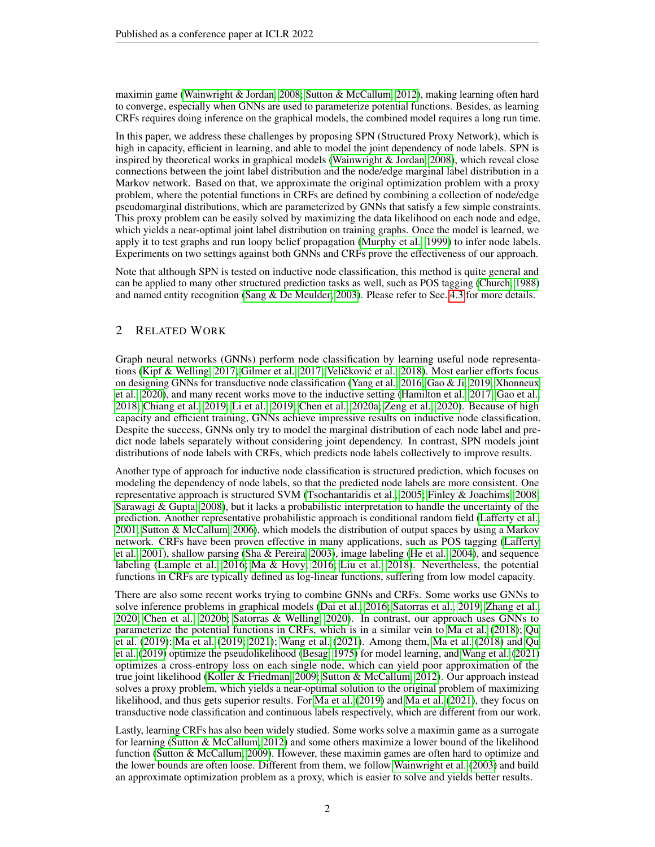maximin game [\(Wainwright & Jordan, 2008;](#page-10-3) [Sutton & McCallum, 2012\)](#page-10-4), making learning often hard to converge, especially when GNNs are used to parameterize potential functions. Besides, as learning CRFs requires doing inference on the graphical models, the combined model requires a long run time.

In this paper, we address these challenges by proposing SPN (Structured Proxy Network), which is high in capacity, efficient in learning, and able to model the joint dependency of node labels. SPN is inspired by theoretical works in graphical models [\(Wainwright & Jordan, 2008\)](#page-10-3), which reveal close connections between the joint label distribution and the node/edge marginal label distribution in a Markov network. Based on that, we approximate the original optimization problem with a proxy problem, where the potential functions in CRFs are defined by combining a collection of node/edge pseudomarginal distributions, which are parameterized by GNNs that satisfy a few simple constraints. This proxy problem can be easily solved by maximizing the data likelihood on each node and edge, which yields a near-optimal joint label distribution on training graphs. Once the model is learned, we apply it to test graphs and run loopy belief propagation [\(Murphy et al., 1999\)](#page-10-5) to infer node labels. Experiments on two settings against both GNNs and CRFs prove the effectiveness of our approach.

Note that although SPN is tested on inductive node classification, this method is quite general and can be applied to many other structured prediction tasks as well, such as POS tagging [\(Church, 1988\)](#page-9-5) and named entity recognition [\(Sang & De Meulder, 2003\)](#page-10-6). Please refer to Sec. [4.3](#page-5-0) for more details.

# 2 RELATED WORK

Graph neural networks (GNNs) perform node classification by learning useful node representa-tions [\(Kipf & Welling, 2017;](#page-9-0) [Gilmer et al., 2017;](#page-9-2) Veličković et al., [2018\)](#page-10-0). Most earlier efforts focus on designing GNNs for transductive node classification [\(Yang et al., 2016;](#page-11-0) [Gao & Ji, 2019;](#page-9-6) [Xhonneux](#page-11-1) [et al., 2020\)](#page-11-1), and many recent works move to the inductive setting [\(Hamilton et al., 2017;](#page-9-1) [Gao et al.,](#page-9-7) [2018;](#page-9-7) [Chiang et al., 2019;](#page-9-8) [Li et al., 2019;](#page-9-9) [Chen et al., 2020a;](#page-9-10) [Zeng et al., 2020\)](#page-11-2). Because of high capacity and efficient training, GNNs achieve impressive results on inductive node classification. Despite the success, GNNs only try to model the marginal distribution of each node label and predict node labels separately without considering joint dependency. In contrast, SPN models joint distributions of node labels with CRFs, which predicts node labels collectively to improve results.

Another type of approach for inductive node classification is structured prediction, which focuses on modeling the dependency of node labels, so that the predicted node labels are more consistent. One representative approach is structured SVM [\(Tsochantaridis et al., 2005;](#page-10-7) [Finley & Joachims, 2008;](#page-9-11) [Sarawagi & Gupta, 2008\)](#page-10-8), but it lacks a probabilistic interpretation to handle the uncertainty of the prediction. Another representative probabilistic approach is conditional random field [\(Lafferty et al.,](#page-9-4) [2001;](#page-9-4) [Sutton & McCallum, 2006\)](#page-10-9), which models the distribution of output spaces by using a Markov network. CRFs have been proven effective in many applications, such as POS tagging [\(Lafferty](#page-9-4) [et al., 2001\)](#page-9-4), shallow parsing [\(Sha & Pereira, 2003\)](#page-10-10), image labeling [\(He et al., 2004\)](#page-9-12), and sequence labeling [\(Lample et al., 2016;](#page-9-13) [Ma & Hovy, 2016;](#page-10-11) [Liu et al., 2018\)](#page-10-12). Nevertheless, the potential functions in CRFs are typically defined as log-linear functions, suffering from low model capacity.

There are also some recent works trying to combine GNNs and CRFs. Some works use GNNs to solve inference problems in graphical models [\(Dai et al., 2016;](#page-9-14) [Satorras et al., 2019;](#page-10-13) [Zhang et al.,](#page-11-3) [2020;](#page-11-3) [Chen et al., 2020b;](#page-9-15) [Satorras & Welling, 2020\)](#page-10-14). In contrast, our approach uses GNNs to parameterize the potential functions in CRFs, which is in a similar vein to [Ma et al.](#page-10-1) [\(2018\)](#page-10-1); [Qu](#page-10-2) [et al.](#page-10-2) [\(2019\)](#page-10-2); [Ma et al.](#page-10-15) [\(2019;](#page-10-15) [2021\)](#page-10-16); [Wang et al.](#page-11-4) [\(2021\)](#page-11-4). Among them, [Ma et al.](#page-10-1) [\(2018\)](#page-10-1) and [Qu](#page-10-2) [et al.](#page-10-2) [\(2019\)](#page-10-2) optimize the pseudolikelihood [\(Besag, 1975\)](#page-9-16) for model learning, and [Wang et al.](#page-11-4) [\(2021\)](#page-11-4) optimizes a cross-entropy loss on each single node, which can yield poor approximation of the true joint likelihood [\(Koller & Friedman, 2009;](#page-9-17) [Sutton & McCallum, 2012\)](#page-10-4). Our approach instead solves a proxy problem, which yields a near-optimal solution to the original problem of maximizing likelihood, and thus gets superior results. For [Ma et al.](#page-10-15) [\(2019\)](#page-10-15) and [Ma et al.](#page-10-16) [\(2021\)](#page-10-16), they focus on transductive node classification and continuous labels respectively, which are different from our work.

Lastly, learning CRFs has also been widely studied. Some works solve a maximin game as a surrogate for learning [\(Sutton & McCallum, 2012\)](#page-10-4) and some others maximize a lower bound of the likelihood function [\(Sutton & McCallum, 2009\)](#page-10-17). However, these maximin games are often hard to optimize and the lower bounds are often loose. Different from them, we follow [Wainwright et al.](#page-10-18) [\(2003\)](#page-10-18) and build an approximate optimization problem as a proxy, which is easier to solve and yields better results.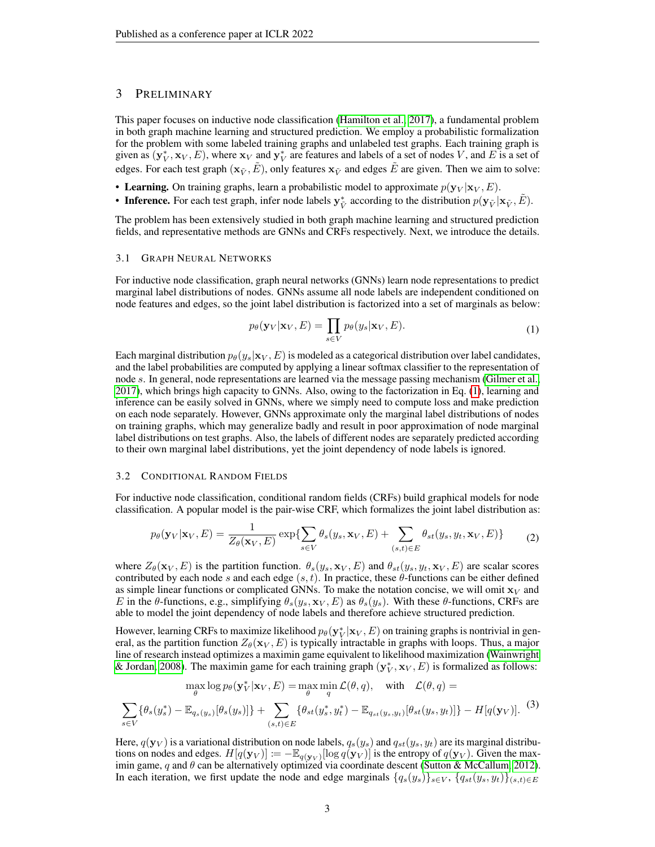## <span id="page-2-4"></span>3 PRELIMINARY

This paper focuses on inductive node classification [\(Hamilton et al., 2017\)](#page-9-1), a fundamental problem in both graph machine learning and structured prediction. We employ a probabilistic formalization for the problem with some labeled training graphs and unlabeled test graphs. Each training graph is given as  $(y^*_V, x_V, E)$ , where  $x_V$  and  $y^*_V$  are features and labels of a set of nodes V, and E is a set of edges. For each test graph  $(x_{\tilde{V}}, E)$ , only features  $x_{\tilde{V}}$  and edges E are given. Then we aim to solve:

- Learning. On training graphs, learn a probabilistic model to approximate  $p(\mathbf{y}_V | \mathbf{x}_V, E)$ .
- Inference. For each test graph, infer node labels  $\mathbf{y}_{\tilde{V}}^*$  according to the distribution  $p(\mathbf{y}_{\tilde{V}}|\mathbf{x}_{\tilde{V}}, \tilde{E})$ .

The problem has been extensively studied in both graph machine learning and structured prediction fields, and representative methods are GNNs and CRFs respectively. Next, we introduce the details.

#### 3.1 GRAPH NEURAL NETWORKS

For inductive node classification, graph neural networks (GNNs) learn node representations to predict marginal label distributions of nodes. GNNs assume all node labels are independent conditioned on node features and edges, so the joint label distribution is factorized into a set of marginals as below:

<span id="page-2-0"></span>
$$
p_{\theta}(\mathbf{y}_V|\mathbf{x}_V, E) = \prod_{s \in V} p_{\theta}(y_s|\mathbf{x}_V, E).
$$
 (1)

Each marginal distribution  $p_{\theta}(y_s|\mathbf{x}_V, E)$  is modeled as a categorical distribution over label candidates, and the label probabilities are computed by applying a linear softmax classifier to the representation of node s. In general, node representations are learned via the message passing mechanism [\(Gilmer et al.,](#page-9-2) [2017\)](#page-9-2), which brings high capacity to GNNs. Also, owing to the factorization in Eq. [\(1\)](#page-2-0), learning and inference can be easily solved in GNNs, where we simply need to compute loss and make prediction on each node separately. However, GNNs approximate only the marginal label distributions of nodes on training graphs, which may generalize badly and result in poor approximation of node marginal label distributions on test graphs. Also, the labels of different nodes are separately predicted according to their own marginal label distributions, yet the joint dependency of node labels is ignored.

#### <span id="page-2-2"></span>3.2 CONDITIONAL RANDOM FIELDS

For inductive node classification, conditional random fields (CRFs) build graphical models for node classification. A popular model is the pair-wise CRF, which formalizes the joint label distribution as:

<span id="page-2-3"></span>
$$
p_{\theta}(\mathbf{y}_V|\mathbf{x}_V, E) = \frac{1}{Z_{\theta}(\mathbf{x}_V, E)} \exp\{\sum_{s \in V} \theta_s(y_s, \mathbf{x}_V, E) + \sum_{(s,t) \in E} \theta_{st}(y_s, y_t, \mathbf{x}_V, E)\}
$$
(2)

where  $Z_{\theta}(\mathbf{x}_V, E)$  is the partition function.  $\theta_s(y_s, \mathbf{x}_V, E)$  and  $\theta_{st}(y_s, y_t, \mathbf{x}_V, E)$  are scalar scores contributed by each node s and each edge  $(s, t)$ . In practice, these  $\theta$ -functions can be either defined as simple linear functions or complicated GNNs. To make the notation concise, we will omit  $x_V$  and E in the  $\theta$ -functions, e.g., simplifying  $\theta_s(y_s, \mathbf{x}_V, E)$  as  $\theta_s(y_s)$ . With these  $\theta$ -functions, CRFs are able to model the joint dependency of node labels and therefore achieve structured prediction.

However, learning CRFs to maximize likelihood  $p_\theta(\mathbf{y}_V^*|\mathbf{x}_V,E)$  on training graphs is nontrivial in general, as the partition function  $Z_{\theta}(\mathbf{x}_V, E)$  is typically intractable in graphs with loops. Thus, a major line of research instead optimizes a maximin game equivalent to likelihood maximization [\(Wainwright](#page-10-3) [& Jordan, 2008\)](#page-10-3). The maximin game for each training graph  $(\mathbf{y}_V^*, \mathbf{x}_V, E)$  is formalized as follows:

<span id="page-2-1"></span>
$$
\max_{\theta} \log p_{\theta}(\mathbf{y}_{V}^{*}|\mathbf{x}_{V}, E) = \max_{\theta} \min_{q} \mathcal{L}(\theta, q), \quad \text{with} \quad \mathcal{L}(\theta, q) =
$$

$$
\sum_{s \in V} \{\theta_{s}(y_{s}^{*}) - \mathbb{E}_{q_{s}(y_{s})}[\theta_{s}(y_{s})]\} + \sum_{(s,t) \in E} \{\theta_{st}(y_{s}^{*}, y_{t}^{*}) - \mathbb{E}_{q_{st}(y_{s}, y_{t})}[\theta_{st}(y_{s}, y_{t})]\} - H[q(\mathbf{y}_{V})].
$$
(3)

Here,  $q(y_V)$  is a variational distribution on node labels,  $q_s(y_s)$  and  $q_{st}(y_s, y_t)$  are its marginal distributions on nodes and edges.  $H[q(\mathbf{y}_V)] := -\mathbb{E}_{q(\mathbf{y}_V)}[\log q(\mathbf{y}_V)]$  is the entropy of  $q(\mathbf{y}_V)$ . Given the maximin game, q and  $\theta$  can be alternatively optimized via coordinate descent [\(Sutton & McCallum, 2012\)](#page-10-4). In each iteration, we first update the node and edge marginals  $\{q_s(y_s)\}_{s\in V}$ ,  $\{q_{st}(y_s, y_t)\}_{(s,t)\in E}$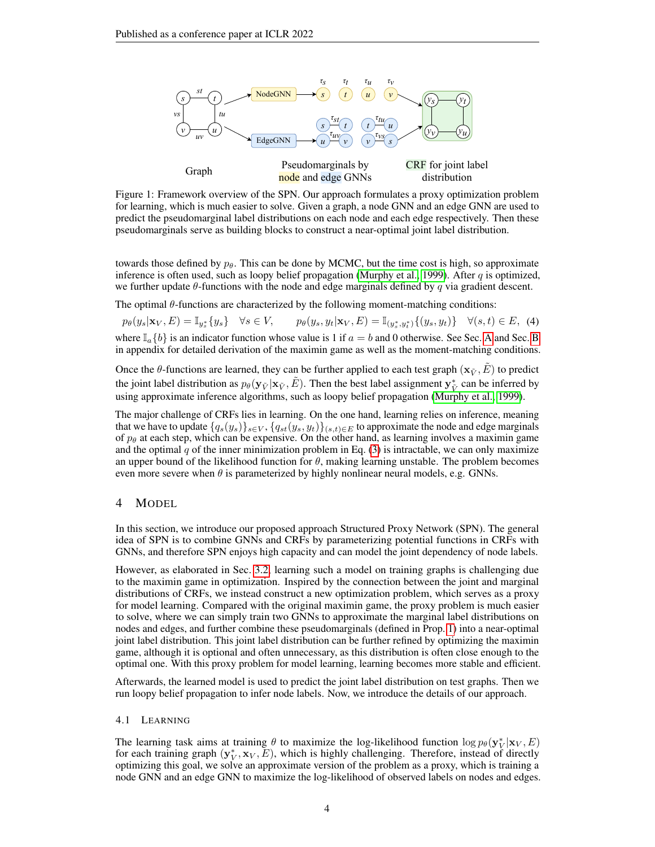

Figure 1: Framework overview of the SPN. Our approach formulates a proxy optimization problem for learning, which is much easier to solve. Given a graph, a node GNN and an edge GNN are used to predict the pseudomarginal label distributions on each node and each edge respectively. Then these pseudomarginals serve as building blocks to construct a near-optimal joint label distribution.

towards those defined by  $p_{\theta}$ . This can be done by MCMC, but the time cost is high, so approximate inference is often used, such as loopy belief propagation [\(Murphy et al., 1999\)](#page-10-5). After  $q$  is optimized, we further update  $\theta$ -functions with the node and edge marginals defined by q via gradient descent.

The optimal  $\theta$ -functions are characterized by the following moment-matching conditions:

<span id="page-3-0"></span> $p_{\theta}(y_s | \mathbf{x}_V, E) = \mathbb{I}_{y_s^*}\{y_s\}$   $\forall s \in V$ ,  $p_{\theta}(y_s, y_t | \mathbf{x}_V, E) = \mathbb{I}_{(y_s^*, y_t^*)}\{(y_s, y_t)\}$   $\forall (s, t) \in E$ , (4) where  $\mathbb{I}_a\{b\}$  is an indicator function whose value is 1 if  $a = b$  and 0 otherwise. See Sec. [A](#page-12-0) and Sec. [B](#page-13-0) in appendix for detailed derivation of the maximin game as well as the moment-matching conditions.

Once the  $\theta$ -functions are learned, they can be further applied to each test graph  $(\mathbf{x}_{\tilde{V}}, E)$  to predict the joint label distribution as  $p_\theta(\mathbf{y}_{\tilde{V}} | \mathbf{x}_{\tilde{V}}, \tilde{E})$ . Then the best label assignment  $\mathbf{y}_{\tilde{V}}^*$  can be inferred by using approximate inference algorithms, such as loopy belief propagation [\(Murphy et al., 1999\)](#page-10-5).

The major challenge of CRFs lies in learning. On the one hand, learning relies on inference, meaning that we have to update  $\{q_s(y_s)\}_{s\in V}$ ,  $\{q_{st}(y_s, y_t)\}_{(s,t)\in E}$  to approximate the node and edge marginals of  $p_\theta$  at each step, which can be expensive. On the other hand, as learning involves a maximin game and the optimal  $q$  of the inner minimization problem in Eq. [\(3\)](#page-2-1) is intractable, we can only maximize an upper bound of the likelihood function for  $\theta$ , making learning unstable. The problem becomes even more severe when  $\theta$  is parameterized by highly nonlinear neural models, e.g. GNNs.

## 4 MODEL

In this section, we introduce our proposed approach Structured Proxy Network (SPN). The general idea of SPN is to combine GNNs and CRFs by parameterizing potential functions in CRFs with GNNs, and therefore SPN enjoys high capacity and can model the joint dependency of node labels.

However, as elaborated in Sec. [3.2,](#page-2-2) learning such a model on training graphs is challenging due to the maximin game in optimization. Inspired by the connection between the joint and marginal distributions of CRFs, we instead construct a new optimization problem, which serves as a proxy for model learning. Compared with the original maximin game, the proxy problem is much easier to solve, where we can simply train two GNNs to approximate the marginal label distributions on nodes and edges, and further combine these pseudomarginals (defined in Prop. [1\)](#page-4-0) into a near-optimal joint label distribution. This joint label distribution can be further refined by optimizing the maximin game, although it is optional and often unnecessary, as this distribution is often close enough to the optimal one. With this proxy problem for model learning, learning becomes more stable and efficient.

Afterwards, the learned model is used to predict the joint label distribution on test graphs. Then we run loopy belief propagation to infer node labels. Now, we introduce the details of our approach.

#### 4.1 LEARNING

The learning task aims at training  $\theta$  to maximize the log-likelihood function  $\log p_{\theta}(\mathbf{y}_{V}^*|\mathbf{x}_{V}, E)$ for each training graph  $(\mathbf{y}_{V}^*, \mathbf{x}_{V}, E)$ , which is highly challenging. Therefore, instead of directly optimizing this goal, we solve an approximate version of the problem as a proxy, which is training a node GNN and an edge GNN to maximize the log-likelihood of observed labels on nodes and edges.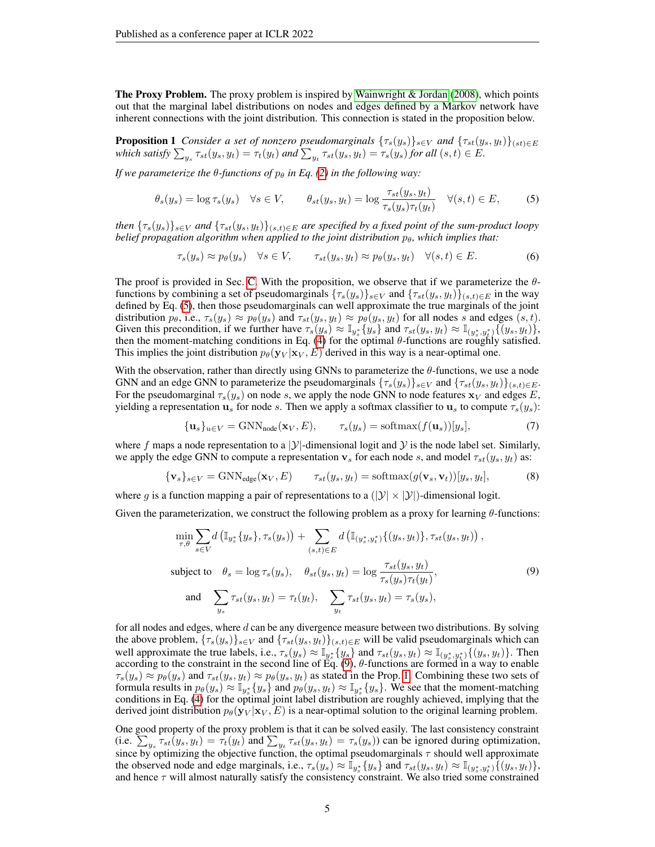The Proxy Problem. The proxy problem is inspired by [Wainwright & Jordan](#page-10-3) [\(2008\)](#page-10-3), which points out that the marginal label distributions on nodes and edges defined by a Markov network have inherent connections with the joint distribution. This connection is stated in the proposition below.

**Proposition 1** *Consider a set of nonzero pseudomarginals*  $\{\tau_s(y_s)\}_{s\in V}$  *and*  $\{\tau_{st}(y_s, y_t)\}_{(st)\in E}$ which satisfy  $\sum_{y_s} \tau_{st}(y_s, y_t) = \tau_t(y_t)$  and  $\sum_{y_t} \tau_{st}(y_s, y_t) = \tau_s(y_s)$  for all  $(s, t) \in E$ .

*If we parameterize the*  $\theta$ *-functions of*  $p_{\theta}$  *in Eq. [\(2\)](#page-2-3) in the following way:* 

<span id="page-4-1"></span>
$$
\theta_s(y_s) = \log \tau_s(y_s) \quad \forall s \in V, \qquad \theta_{st}(y_s, y_t) = \log \frac{\tau_{st}(y_s, y_t)}{\tau_s(y_s)\tau_t(y_t)} \quad \forall (s, t) \in E,
$$
 (5)

*then*  ${\{\tau_s(y_s)\}_{s\in V}}$  *and*  ${\{\tau_{st}(y_s, y_t)\}_{(s,t)\in E}}$  *are specified by a fixed point of the sum-product loopy belief propagation algorithm when applied to the joint distribution*  $p_{\theta}$ *, which implies that:* 

<span id="page-4-0"></span>
$$
\tau_s(y_s) \approx p_\theta(y_s) \quad \forall s \in V, \qquad \tau_{st}(y_s, y_t) \approx p_\theta(y_s, y_t) \quad \forall (s, t) \in E. \tag{6}
$$

The proof is provided in Sec. [C.](#page-14-0) With the proposition, we observe that if we parameterize the  $\theta$ functions by combining a set of pseudomarginals  $\{\tau_s(y_s)\}_{s\in V}$  and  $\{\tau_{st}(y_s, y_t)\}_{(s,t)\in E}$  in the way defined by Eq. [\(5\)](#page-4-1), then those pseudomarginals can well approximate the true marginals of the joint distribution  $p_\theta$ , i.e.,  $\tau_s(y_s) \approx p_\theta(y_s)$  and  $\tau_{st}(y_s, y_t) \approx p_\theta(y_s, y_t)$  for all nodes s and edges  $(s, t)$ . Given this precondition, if we further have  $\tau_s(y_s) \approx \mathbb{I}_{y_s^*}\{y_s\}$  and  $\tau_{st}(y_s, y_t) \approx \mathbb{I}_{(y_s^*, y_t^*)}\{(y_s, y_t)\},$ then the moment-matching conditions in Eq. [\(4\)](#page-3-0) for the optimal  $\theta$ -functions are roughly satisfied. This implies the joint distribution  $p_{\theta}(\mathbf{y}_V | \mathbf{x}_V, E)$  derived in this way is a near-optimal one.

With the observation, rather than directly using GNNs to parameterize the  $\theta$ -functions, we use a node GNN and an edge GNN to parameterize the pseudomarginals  $\{\tau_s(y_s)\}_{s\in V}$  and  $\{\tau_{st}(y_s, y_t)\}_{(s,t)\in E}$ . For the pseudomarginal  $\tau_s(y_s)$  on node s, we apply the node GNN to node features  $x_V$  and edges E, yielding a representation  $\mathbf{u}_s$  for node s. Then we apply a softmax classifier to  $\mathbf{u}_s$  to compute  $\tau_s(y_s)$ :

<span id="page-4-3"></span>
$$
\{\mathbf{u}_s\}_{u \in V} = \text{GNN}_{\text{node}}(\mathbf{x}_V, E), \qquad \tau_s(y_s) = \text{softmax}(f(\mathbf{u}_s))[y_s], \tag{7}
$$

where f maps a node representation to a  $|Y|$ -dimensional logit and Y is the node label set. Similarly, we apply the edge GNN to compute a representation  $v_s$  for each node s, and model  $\tau_{st}(y_s, y_t)$  as:

<span id="page-4-4"></span>
$$
\{\mathbf v_s\}_{s\in V} = \text{GNN}_{\text{edge}}(\mathbf x_V, E) \qquad \tau_{st}(y_s, y_t) = \text{softmax}(g(\mathbf v_s, \mathbf v_t)) [y_s, y_t], \tag{8}
$$

where g is a function mapping a pair of representations to a  $(|\mathcal{Y}| \times |\mathcal{Y}|)$ -dimensional logit.

Given the parameterization, we construct the following problem as a proxy for learning  $\theta$ -functions:

<span id="page-4-2"></span>
$$
\min_{\tau,\theta} \sum_{s \in V} d\left(\mathbb{I}_{y_s^*}\{y_s\}, \tau_s(y_s)\right) + \sum_{(s,t) \in E} d\left(\mathbb{I}_{(y_s^*, y_t^*)}\{(y_s, y_t)\}, \tau_{st}(y_s, y_t)\right),
$$
\nsubject to\n
$$
\theta_s = \log \tau_s(y_s), \quad \theta_{st}(y_s, y_t) = \log \frac{\tau_{st}(y_s, y_t)}{\tau_s(y_s)\tau_t(y_t)},
$$
\nand\n
$$
\sum_{y_s} \tau_{st}(y_s, y_t) = \tau_t(y_t), \quad \sum_{y_t} \tau_{st}(y_s, y_t) = \tau_s(y_s),
$$
\n(9)

for all nodes and edges, where  $d$  can be any divergence measure between two distributions. By solving the above problem,  $\{\tau_s(y_s)\}_{s\in V}$  and  $\{\tau_{st}(y_s, y_t)\}_{s,t\in E}$  will be valid pseudomarginals which can well approximate the true labels, i.e.,  $\tau_s(y_s) \approx \mathbb{I}_{y_s^*}(y_s)$  and  $\tau_{st}(y_s, y_t) \approx \mathbb{I}_{(y_s^*, y_t^*)}\{(y_s, y_t)\}$ . Then  $\frac{f(x,y,t)}{g(x,y,t)}$  according to the constraint in the second line of Eq. [\(9\)](#page-4-2),  $\theta$ -functions are formed in a way to enable  $\tau_s(y_s) \approx p_\theta(y_s)$  and  $\tau_{st}(y_s, y_t) \approx p_\theta(y_s, y_t)$  as stated in the Prop. [1.](#page-4-0) Combining these two sets of formula results in  $p_\theta(y_s) \approx \mathbb{I}_{y_s^*}\{y_s\}$  and  $p_\theta(y_s, y_t) \approx \mathbb{I}_{y_s^*}\{y_s\}$ . We see that the moment-matching conditions in Eq. [\(4\)](#page-3-0) for the optimal joint label distribution are roughly achieved, implying that the derived joint distribution  $p_{\theta}(\mathbf{y}_V | \mathbf{x}_V, E)$  is a near-optimal solution to the original learning problem.

One good property of the proxy problem is that it can be solved easily. The last consistency constraint (i.e.  $\sum_{y_s} \tau_{st}(y_s, y_t) = \tau_t(y_t)$  and  $\sum_{y_t} \tau_{st}(y_s, y_t) = \tau_s(y_s)$ ) can be ignored during optimization, since by optimizing the objective function, the optimal pseudomarginals  $\tau$  should well approximate the observed node and edge marginals, i.e.,  $\tau_s(y_s) \approx \mathbb{I}_{y_s^*}\{y_s\}$  and  $\tau_{st}(y_s, y_t) \approx \mathbb{I}_{(y_s^*, y_t^*)}\{(y_s, y_t)\}$ , and hence  $\tau$  will almost naturally satisfy the consistency constraint. We also tried some constrained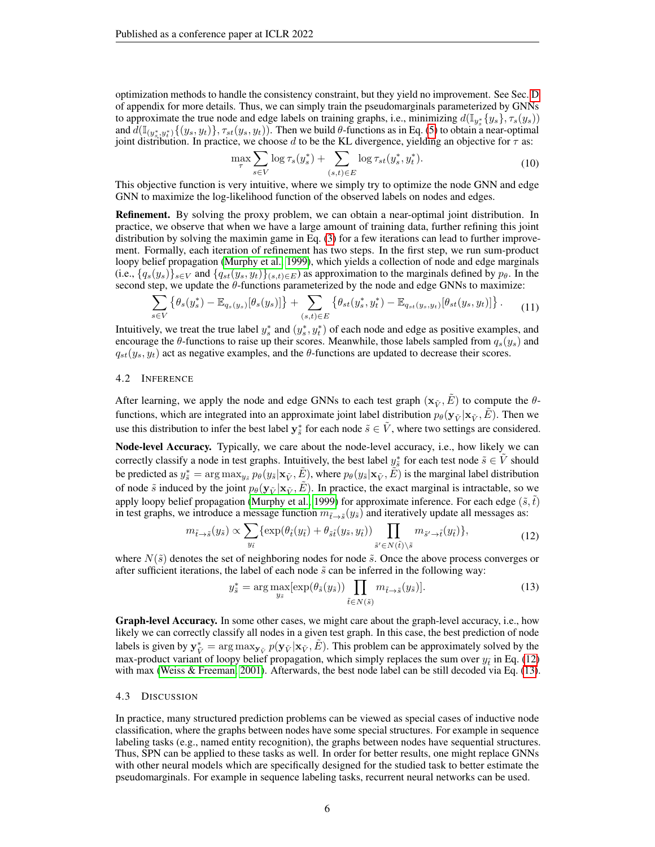optimization methods to handle the consistency constraint, but they yield no improvement. See Sec. [D](#page-15-0) of appendix for more details. Thus, we can simply train the pseudomarginals parameterized by GNNs to approximate the true node and edge labels on training graphs, i.e., minimizing  $d(\mathbb{I}_{y_s^*}\{y_s\}, \tau_s(y_s))$ and  $d(\mathbb{I}_{(y_s^*,y_t^*)}\{(y_s,y_t)\}, \tau_{st}(y_s,y_t))$ . Then we build  $\theta$ -functions as in Eq. [\(5\)](#page-4-1) to obtain a near-optimal joint distribution. In practice, we choose d to be the KL divergence, yielding an objective for  $\tau$  as:

<span id="page-5-3"></span>
$$
\max_{\tau} \sum_{s \in V} \log \tau_s(y_s^*) + \sum_{(s,t) \in E} \log \tau_{st}(y_s^*, y_t^*).
$$
 (10)

This objective function is very intuitive, where we simply try to optimize the node GNN and edge GNN to maximize the log-likelihood function of the observed labels on nodes and edges.

Refinement. By solving the proxy problem, we can obtain a near-optimal joint distribution. In practice, we observe that when we have a large amount of training data, further refining this joint distribution by solving the maximin game in Eq. [\(3\)](#page-2-1) for a few iterations can lead to further improvement. Formally, each iteration of refinement has two steps. In the first step, we run sum-product loopy belief propagation [\(Murphy et al., 1999\)](#page-10-5), which yields a collection of node and edge marginals (i.e.,  $\{q_s(y_s)\}_{s\in V}$  and  $\{q_{st}(y_s, y_t)\}_{(s,t)\in E}$ ) as approximation to the marginals defined by  $p_{\theta}$ . In the second step, we update the  $\theta$ -functions parameterized by the node and edge GNNs to maximize:

$$
\sum_{s \in V} \left\{ \theta_s(y_s^*) - \mathbb{E}_{q_s(y_s)}[\theta_s(y_s)] \right\} + \sum_{(s,t) \in E} \left\{ \theta_{st}(y_s^*, y_t^*) - \mathbb{E}_{q_{st}(y_s, y_t)}[\theta_{st}(y_s, y_t)] \right\}.
$$
 (11)

Intuitively, we treat the true label  $y_s^*$  and  $(y_s^*, y_t^*)$  of each node and edge as positive examples, and encourage the  $\theta$ -functions to raise up their scores. Meanwhile, those labels sampled from  $q_s(y_s)$  and  $q_{st}(y_s, y_t)$  act as negative examples, and the  $\theta$ -functions are updated to decrease their scores.

#### <span id="page-5-4"></span>4.2 INFERENCE

After learning, we apply the node and edge GNNs to each test graph  $(\mathbf{x}_{\tilde{V}}, E)$  to compute the  $\theta$ functions, which are integrated into an approximate joint label distribution  $p_\theta(\mathbf{y}_{\tilde{V}}|\mathbf{x}_{\tilde{V}}, \tilde{E})$ . Then we use this distribution to infer the best label  $y^*_{\tilde{s}}$  for each node  $\tilde{s} \in \tilde{V}$ , where two settings are considered.

Node-level Accuracy. Typically, we care about the node-level accuracy, i.e., how likely we can correctly classify a node in test graphs. Intuitively, the best label  $y^*_s$  for each test node  $\tilde{s} \in \tilde{V}$  should be predicted as  $y^*_\tilde{s} = \arg \max_{y_{\tilde{s}}} p_\theta(y_{\tilde{s}} | \mathbf{x}_{\tilde{V}}, \tilde{E})$ , where  $p_\theta(y_{\tilde{s}} | \mathbf{x}_{\tilde{V}}, \tilde{E})$  is the marginal label distribution of node  $\tilde{s}$  induced by the joint  $p_{\theta}(\mathbf{y}_{\tilde{V}} | \mathbf{x}_{\tilde{V}}, E)$ . In practice, the exact marginal is intractable, so we apply loopy belief propagation [\(Murphy et al., 1999\)](#page-10-5) for approximate inference. For each edge ( $\tilde{s},\tilde{t}$ ) in test graphs, we introduce a message function  $m_{\tilde{t}\to \tilde{s}}(y_{\tilde{s}})$  and iteratively update all messages as:

<span id="page-5-1"></span>
$$
m_{\tilde{t}\to\tilde{s}}(y_{\tilde{s}}) \propto \sum_{y_{\tilde{t}}} \{ \exp(\theta_{\tilde{t}}(y_{\tilde{t}}) + \theta_{\tilde{s}\tilde{t}}(y_{\tilde{s}}, y_{\tilde{t}})) \prod_{\tilde{s}' \in N(\tilde{t}) \backslash \tilde{s}} m_{\tilde{s}' \to \tilde{t}}(y_{\tilde{t}}) \},
$$
\n(12)

where  $N(\tilde{s})$  denotes the set of neighboring nodes for node  $\tilde{s}$ . Once the above process converges or after sufficient iterations, the label of each node  $\tilde{s}$  can be inferred in the following way:

<span id="page-5-2"></span>
$$
y_{\tilde{s}}^* = \arg \max_{y_{\tilde{s}}} [\exp(\theta_{\tilde{s}}(y_{\tilde{s}})) \prod_{\tilde{t} \in N(\tilde{s})} m_{\tilde{t} \to \tilde{s}}(y_{\tilde{s}})]. \tag{13}
$$

Graph-level Accuracy. In some other cases, we might care about the graph-level accuracy, i.e., how likely we can correctly classify all nodes in a given test graph. In this case, the best prediction of node labels is given by  $\mathbf{y}_{\tilde{V}}^* = \arg \max_{\mathbf{y}_{\tilde{V}}} p(\mathbf{y}_{\tilde{V}} | \mathbf{x}_{\tilde{V}}, \tilde{E})$ . This problem can be approximately solved by the max-product variant of loopy belief propagation, which simply replaces the sum over  $y_{\tilde{t}}$  in Eq. [\(12\)](#page-5-1) with max [\(Weiss & Freeman, 2001\)](#page-11-5). Afterwards, the best node label can be still decoded via Eq. [\(13\)](#page-5-2).

#### <span id="page-5-0"></span>4.3 DISCUSSION

In practice, many structured prediction problems can be viewed as special cases of inductive node classification, where the graphs between nodes have some special structures. For example in sequence labeling tasks (e.g., named entity recognition), the graphs between nodes have sequential structures. Thus, SPN can be applied to these tasks as well. In order for better results, one might replace GNNs with other neural models which are specifically designed for the studied task to better estimate the pseudomarginals. For example in sequence labeling tasks, recurrent neural networks can be used.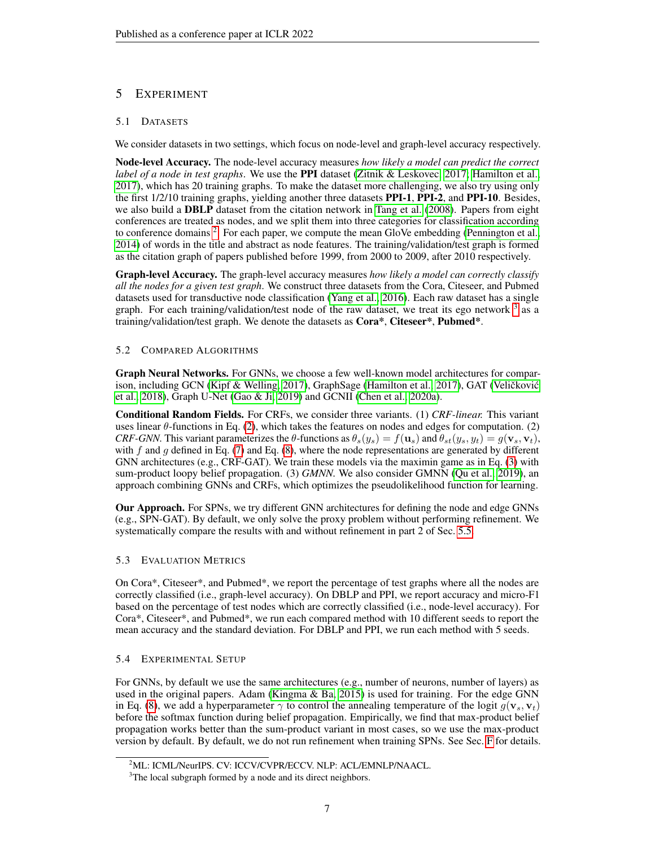# 5 EXPERIMENT

## 5.1 DATASETS

We consider datasets in two settings, which focus on node-level and graph-level accuracy respectively.

Node-level Accuracy. The node-level accuracy measures *how likely a model can predict the correct label of a node in test graphs*. We use the PPI dataset [\(Zitnik & Leskovec, 2017;](#page-11-6) [Hamilton et al.,](#page-9-1) [2017\)](#page-9-1), which has 20 training graphs. To make the dataset more challenging, we also try using only the first 1/2/10 training graphs, yielding another three datasets **PPI-1, PPI-2**, and **PPI-10**. Besides, we also build a **DBLP** dataset from the citation network in [Tang et al.](#page-10-19) [\(2008\)](#page-10-19). Papers from eight conferences are treated as nodes, and we split them into three categories for classification according to conference domains <sup>[2](#page-6-0)</sup>. For each paper, we compute the mean GloVe embedding [\(Pennington et al.,](#page-10-20) [2014\)](#page-10-20) of words in the title and abstract as node features. The training/validation/test graph is formed as the citation graph of papers published before 1999, from 2000 to 2009, after 2010 respectively.

Graph-level Accuracy. The graph-level accuracy measures *how likely a model can correctly classify all the nodes for a given test graph*. We construct three datasets from the Cora, Citeseer, and Pubmed datasets used for transductive node classification [\(Yang et al., 2016\)](#page-11-0). Each raw dataset has a single graph. For each training/validation/test node of the raw dataset, we treat its ego network  $3$  as a training/validation/test graph. We denote the datasets as Cora\*, Citeseer\*, Pubmed\*.

## 5.2 COMPARED ALGORITHMS

Graph Neural Networks. For GNNs, we choose a few well-known model architectures for compar-ison, including GCN [\(Kipf & Welling, 2017\)](#page-9-0), GraphSage [\(Hamilton et al., 2017\)](#page-9-1), GAT (Veličković [et al., 2018\)](#page-10-0), Graph U-Net [\(Gao & Ji, 2019\)](#page-9-6) and GCNII [\(Chen et al., 2020a\)](#page-9-10).

Conditional Random Fields. For CRFs, we consider three variants. (1) *CRF-linear.* This variant uses linear  $\theta$ -functions in Eq. [\(2\)](#page-2-3), which takes the features on nodes and edges for computation. (2) *CRF-GNN.* This variant parameterizes the  $\theta$ -functions as  $\theta_s(y_s) = f(\mathbf{u}_s)$  and  $\theta_{st}(y_s, y_t) = g(\mathbf{v}_s, \mathbf{v}_t)$ , with f and g defined in Eq. [\(7\)](#page-4-3) and Eq. [\(8\)](#page-4-4), where the node representations are generated by different GNN architectures (e.g., CRF-GAT). We train these models via the maximin game as in Eq. [\(3\)](#page-2-1) with sum-product loopy belief propagation. (3) *GMNN.* We also consider GMNN [\(Qu et al., 2019\)](#page-10-2), an approach combining GNNs and CRFs, which optimizes the pseudolikelihood function for learning.

Our Approach. For SPNs, we try different GNN architectures for defining the node and edge GNNs (e.g., SPN-GAT). By default, we only solve the proxy problem without performing refinement. We systematically compare the results with and without refinement in part 2 of Sec. [5.5.](#page-7-0)

## 5.3 EVALUATION METRICS

On Cora\*, Citeseer\*, and Pubmed\*, we report the percentage of test graphs where all the nodes are correctly classified (i.e., graph-level accuracy). On DBLP and PPI, we report accuracy and micro-F1 based on the percentage of test nodes which are correctly classified (i.e., node-level accuracy). For Cora\*, Citeseer\*, and Pubmed\*, we run each compared method with 10 different seeds to report the mean accuracy and the standard deviation. For DBLP and PPI, we run each method with 5 seeds.

## 5.4 EXPERIMENTAL SETUP

For GNNs, by default we use the same architectures (e.g., number of neurons, number of layers) as used in the original papers. Adam (Kingma  $\&$  Ba, 2015) is used for training. For the edge GNN in Eq. [\(8\)](#page-4-4), we add a hyperparameter  $\gamma$  to control the annealing temperature of the logit  $q(\mathbf{v}_s, \mathbf{v}_t)$ before the softmax function during belief propagation. Empirically, we find that max-product belief propagation works better than the sum-product variant in most cases, so we use the max-product version by default. By default, we do not run refinement when training SPNs. See Sec. [F](#page-17-0) for details.

<span id="page-6-0"></span><sup>2</sup>ML: ICML/NeurIPS. CV: ICCV/CVPR/ECCV. NLP: ACL/EMNLP/NAACL.

<span id="page-6-1"></span><sup>&</sup>lt;sup>3</sup>The local subgraph formed by a node and its direct neighbors.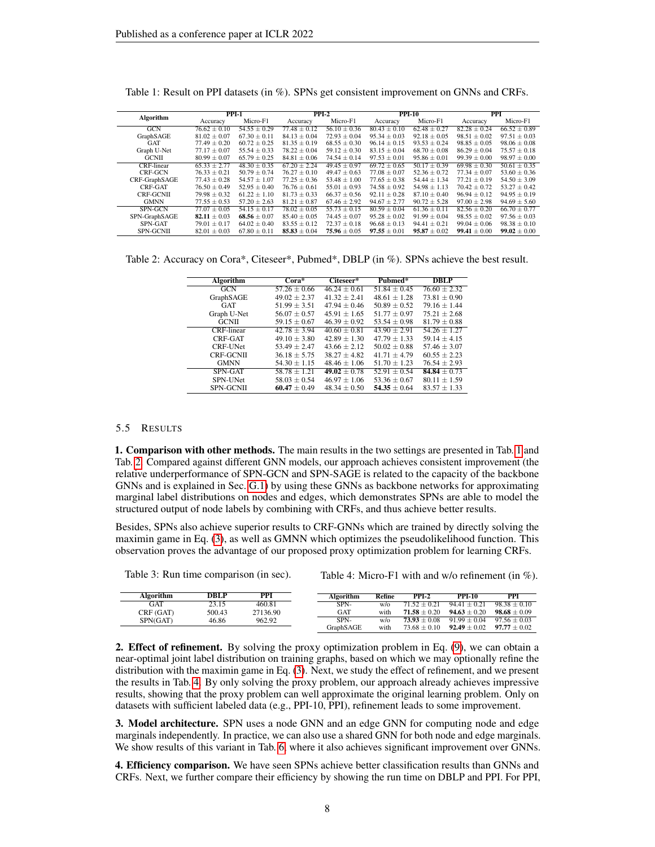<span id="page-7-1"></span>

|                   | <b>PPI-1</b>     |                  |                  | $PPI-2$          |                  | <b>PPI-10</b>    |                  | <b>PPI</b>       |  |
|-------------------|------------------|------------------|------------------|------------------|------------------|------------------|------------------|------------------|--|
| Algorithm         | Accuracy         | Micro-F1         | Accuracy         | Micro-F1         | Accuracy         | Micro-F1         | Accuracy         | Micro-F1         |  |
| GCN               | $76.62 \pm 0.10$ | $54.55 + 0.29$   | $77.48 \pm 0.12$ | $56.10 \pm 0.36$ | $80.43 \pm 0.10$ | $62.48 \pm 0.27$ | $82.28 + 0.24$   | $66.52 + 0.89$   |  |
| GraphSAGE         | $81.02 \pm 0.07$ | $67.30 \pm 0.11$ | $84.13 \pm 0.04$ | $72.93 \pm 0.04$ | $95.34 \pm 0.03$ | $92.18 \pm 0.05$ | $98.51 \pm 0.02$ | $97.51 \pm 0.03$ |  |
| GAT               | $77.49 + 0.20$   | $60.72 \pm 0.25$ | $81.35 \pm 0.19$ | $68.55 \pm 0.30$ | $96.14 \pm 0.15$ | $93.53 \pm 0.24$ | $98.85 \pm 0.05$ | $98.06 \pm 0.08$ |  |
| Graph U-Net       | $77.17 + 0.07$   | $55.54 \pm 0.33$ | $78.22 \pm 0.04$ | $59.12 \pm 0.30$ | $83.15 \pm 0.04$ | $68.70 \pm 0.08$ | $86.29 \pm 0.04$ | $75.57 + 0.18$   |  |
| <b>GCNII</b>      | $80.99 \pm 0.07$ | $65.79 \pm 0.25$ | $84.81 \pm 0.06$ | $74.54 \pm 0.14$ | $97.53 \pm 0.01$ | $95.86 \pm 0.01$ | $99.39 \pm 0.00$ | $98.97 \pm 0.00$ |  |
| <b>CRF-linear</b> | $65.33 + 2.77$   | $48.30 \pm 0.35$ | $67.20 \pm 2.24$ | $49.45 \pm 0.97$ | $69.72 \pm 0.65$ | $50.17 \pm 0.39$ | $69.98 + 0.30$   | $50.61 + 0.35$   |  |
| <b>CRF-GCN</b>    | $76.33 \pm 0.21$ | $50.79 \pm 0.74$ | $76.27 \pm 0.10$ | $49.47 \pm 0.63$ | $77.08 \pm 0.07$ | $52.36 \pm 0.72$ | $77.34 \pm 0.07$ | $53.60 \pm 0.36$ |  |
| CRF-GraphSAGE     | $77.43 \pm 0.28$ | $54.57 \pm 1.07$ | $77.25 \pm 0.36$ | $53.48 \pm 1.00$ | $77.65 \pm 0.38$ | $54.44 \pm 1.34$ | $77.21 \pm 0.19$ | $54.50 + 3.09$   |  |
| CRF-GAT           | $76.50 \pm 0.49$ | $52.95 \pm 0.40$ | $76.76 \pm 0.61$ | $55.01 \pm 0.93$ | $74.58 \pm 0.92$ | $54.98 \pm 1.13$ | $70.42 \pm 0.72$ | $53.27 + 0.42$   |  |
| <b>CRF-GCNII</b>  | $79.98 \pm 0.32$ | $61.22 \pm 1.10$ | $81.73 \pm 0.33$ | $66.37 \pm 0.56$ | $92.11 \pm 0.28$ | $87.10 \pm 0.40$ | $96.94 \pm 0.12$ | $94.95 \pm 0.19$ |  |
| <b>GMNN</b>       | $77.55 \pm 0.53$ | $57.20 \pm 2.63$ | $81.21 \pm 0.87$ | $67.46 \pm 2.92$ | $94.67 \pm 2.77$ | $90.72 \pm 5.28$ | $97.00 \pm 2.98$ | $94.69 \pm 5.60$ |  |
| SPN-GCN           | $77.07 + 0.05$   | $54.15 + 0.17$   | $78.02 + 0.05$   | $55.73 \pm 0.15$ | $80.59 \pm 0.04$ | $61.36 \pm 0.11$ | $82.56 + 0.20$   | $66.70 + 0.77$   |  |
| SPN-GraphSAGE     | $82.11 + 0.03$   | $68.56 + 0.07$   | $85.40 \pm 0.05$ | $74.45 \pm 0.07$ | $95.28 \pm 0.02$ | $91.99 \pm 0.04$ | $98.55 \pm 0.02$ | $97.56 + 0.03$   |  |
| SPN-GAT           | $79.01 \pm 0.17$ | $64.02 \pm 0.40$ | $83.55 \pm 0.12$ | $72.37 \pm 0.18$ | $96.68 \pm 0.13$ | $94.41 \pm 0.21$ | $99.04 \pm 0.06$ | $98.38 \pm 0.10$ |  |
| <b>SPN-GCNII</b>  | $82.01 \pm 0.03$ | $67.80 \pm 0.11$ | $85.83 \pm 0.04$ | $75.96 \pm 0.05$ | $97.55 \pm 0.01$ | $95.87 \pm 0.02$ | $99.41 \pm 0.00$ | $99.02 \pm 0.00$ |  |

| Table 1: Result on PPI datasets (in $\%$ ). SPNs get consistent improvement on GNNs and CRFs. |  |  |
|-----------------------------------------------------------------------------------------------|--|--|
|-----------------------------------------------------------------------------------------------|--|--|

<span id="page-7-2"></span>Table 2: Accuracy on Cora\*, Citeseer\*, Pubmed\*, DBLP (in %). SPNs achieve the best result.

| Algorithm         | $Cora*$          | Citeseer*        | Pubmed*          | <b>DBLP</b>      |
|-------------------|------------------|------------------|------------------|------------------|
| <b>GCN</b>        | $57.26 + 0.66$   | $46.24 + 0.61$   | $51.84 + 0.45$   | $76.60 + 2.32$   |
| GraphSAGE         | $49.02 + 2.37$   | $41.32 + 2.41$   | $48.61 + 1.28$   | $73.81 \pm 0.90$ |
| <b>GAT</b>        | $51.99 + 3.51$   | $47.94 + 0.46$   | $50.89 + 0.52$   | $79.16 + 1.44$   |
| Graph U-Net       | $56.07 \pm 0.57$ | $45.91 + 1.65$   | $51.77 + 0.97$   | $75.21 + 2.68$   |
| <b>GCNII</b>      | $59.15 \pm 0.67$ | $46.39 + 0.92$   | $53.54 + 0.98$   | $81.79 \pm 0.88$ |
| <b>CRF-linear</b> | $42.78 + 3.94$   | $40.60 + 0.81$   | $43.90 + 2.91$   | $54.26 + 1.27$   |
| CRF-GAT           | $49.10 + 3.80$   | $42.89 + 1.30$   | $47.79 + 1.33$   | $59.14 + 4.15$   |
| <b>CRF-UNet</b>   | $53.49 + 2.47$   | $43.66 + 2.12$   | $50.02 + 0.88$   | $57.46 + 3.07$   |
| <b>CRF-GCNII</b>  | $36.18 + 5.75$   | $38.27 + 4.82$   | $41.71 \pm 4.79$ | $60.55 + 2.23$   |
| <b>GMNN</b>       | $54.30 + 1.15$   | $48.46 + 1.06$   | $51.70 + 1.23$   | $76.54 \pm 2.93$ |
| SPN-GAT           | $58.78 + 1.21$   | $49.02 \pm 0.78$ | $52.91 + 0.54$   | $84.84 + 0.73$   |
| SPN-UNet          | $58.03 + 0.54$   | $46.97 + 1.06$   | $53.36 + 0.67$   | $80.11 + 1.59$   |
| <b>SPN-GCNII</b>  | 60.47 $\pm$ 0.49 | $48.34 \pm 0.50$ | $54.35 + 0.64$   | $83.57 \pm 1.33$ |

#### <span id="page-7-0"></span>5.5 RESULTS

1. Comparison with other methods. The main results in the two settings are presented in Tab. [1](#page-7-1) and Tab. [2.](#page-7-2) Compared against different GNN models, our approach achieves consistent improvement (the relative underperformance of SPN-GCN and SPN-SAGE is related to the capacity of the backbone GNNs and is explained in Sec. [G.1\)](#page-19-0) by using these GNNs as backbone networks for approximating marginal label distributions on nodes and edges, which demonstrates SPNs are able to model the structured output of node labels by combining with CRFs, and thus achieve better results.

Besides, SPNs also achieve superior results to CRF-GNNs which are trained by directly solving the maximin game in Eq. [\(3\)](#page-2-1), as well as GMNN which optimizes the pseudolikelihood function. This observation proves the advantage of our proposed proxy optimization problem for learning CRFs.

<span id="page-7-3"></span>

| Table 3: Run time comparison (in sec). |  |  |
|----------------------------------------|--|--|
|----------------------------------------|--|--|

Table 4: Micro-F1 with and w/o refinement (in %).

| Algorithm  | DBL P  | PPI      | Algorithm | Refine | PPI-2          | <b>PPI-10</b>  | PPI            |
|------------|--------|----------|-----------|--------|----------------|----------------|----------------|
| <b>GAT</b> | 23.15  | 460.81   | SPN-      | w/o    | $71.52 + 0.21$ | $94.41 + 0.21$ | $98.38 + 0.10$ |
| CRF (GAT)  | 500.43 | 27136.90 | GAT       | with   | $71.58 + 0.20$ | $94.63 + 0.20$ | $98.68 + 0.09$ |
| SPN(GAT)   | 46.86  | 962.92   | SPN-      | w/o    | $73.93 + 0.08$ | $91.99 + 0.04$ | $97.56 + 0.03$ |
|            |        |          | GraphSAGE | with   | $73.68 + 0.10$ | $92.49 + 0.02$ | $97.77 + 0.02$ |

2. Effect of refinement. By solving the proxy optimization problem in Eq. [\(9\)](#page-4-2), we can obtain a near-optimal joint label distribution on training graphs, based on which we may optionally refine the distribution with the maximin game in Eq. [\(3\)](#page-2-1). Next, we study the effect of refinement, and we present the results in Tab. [4.](#page-7-3) By only solving the proxy problem, our approach already achieves impressive results, showing that the proxy problem can well approximate the original learning problem. Only on datasets with sufficient labeled data (e.g., PPI-10, PPI), refinement leads to some improvement.

3. Model architecture. SPN uses a node GNN and an edge GNN for computing node and edge marginals independently. In practice, we can also use a shared GNN for both node and edge marginals. We show results of this variant in Tab. [6,](#page-8-0) where it also achieves significant improvement over GNNs.

4. Efficiency comparison. We have seen SPNs achieve better classification results than GNNs and CRFs. Next, we further compare their efficiency by showing the run time on DBLP and PPI. For PPI,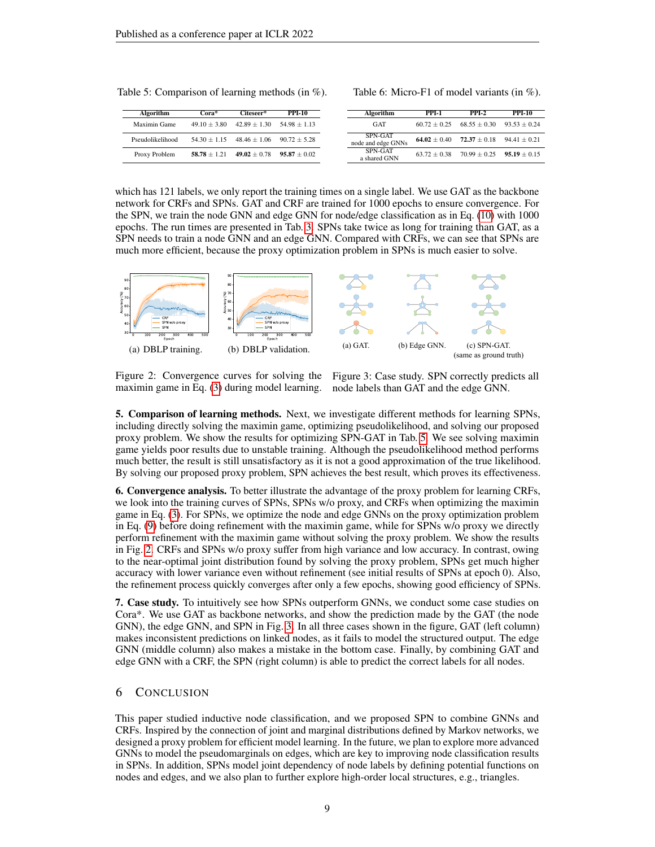<span id="page-8-0"></span>Table 5: Comparison of learning methods (in %).

Table 6: Micro-F1 of model variants (in %).

| Algorithm        | Cora*          | Citeseer*      | <b>PPI-10</b>    |
|------------------|----------------|----------------|------------------|
| Maximin Game     | $49.10 + 3.80$ | $42.89 + 1.30$ | $54.98 \pm 1.13$ |
| Pseudolikelihood | $54.30 + 1.15$ | $48.46 + 1.06$ | $90.72 + 5.28$   |
| Proxy Problem    | $58.78 + 1.21$ | $49.02 + 0.78$ | $95.87 + 0.02$   |

| Algorithm                     | <b>PPI-1</b>   | PPI-2            | <b>PPI-10</b>    |
|-------------------------------|----------------|------------------|------------------|
| GAT                           | $60.72 + 0.25$ | $68.55 + 0.30$   | $93.53 \pm 0.24$ |
| SPN-GAT<br>node and edge GNNs | $64.02 + 0.40$ | $72.37 \pm 0.18$ | $94.41 \pm 0.21$ |
| SPN-GAT<br>a shared GNN       | $63.72 + 0.38$ | $70.99 + 0.25$   | $95.19 + 0.15$   |

which has 121 labels, we only report the training times on a single label. We use GAT as the backbone network for CRFs and SPNs. GAT and CRF are trained for 1000 epochs to ensure convergence. For the SPN, we train the node GNN and edge GNN for node/edge classification as in Eq. [\(10\)](#page-5-3) with 1000 epochs. The run times are presented in Tab. [3.](#page-7-3) SPNs take twice as long for training than GAT, as a SPN needs to train a node GNN and an edge GNN. Compared with CRFs, we can see that SPNs are much more efficient, because the proxy optimization problem in SPNs is much easier to solve.

<span id="page-8-1"></span>

Figure 2: Convergence curves for solving the maximin game in Eq. [\(3\)](#page-2-1) during model learning.

Figure 3: Case study. SPN correctly predicts all node labels than GAT and the edge GNN.

5. Comparison of learning methods. Next, we investigate different methods for learning SPNs, including directly solving the maximin game, optimizing pseudolikelihood, and solving our proposed proxy problem. We show the results for optimizing SPN-GAT in Tab. [5.](#page-8-0) We see solving maximin game yields poor results due to unstable training. Although the pseudolikelihood method performs much better, the result is still unsatisfactory as it is not a good approximation of the true likelihood. By solving our proposed proxy problem, SPN achieves the best result, which proves its effectiveness.

6. Convergence analysis. To better illustrate the advantage of the proxy problem for learning CRFs, we look into the training curves of SPNs, SPNs w/o proxy, and CRFs when optimizing the maximin game in Eq. [\(3\)](#page-2-1). For SPNs, we optimize the node and edge GNNs on the proxy optimization problem in Eq. [\(9\)](#page-4-2) before doing refinement with the maximin game, while for SPNs w/o proxy we directly perform refinement with the maximin game without solving the proxy problem. We show the results in Fig. [2.](#page-8-1) CRFs and SPNs w/o proxy suffer from high variance and low accuracy. In contrast, owing to the near-optimal joint distribution found by solving the proxy problem, SPNs get much higher accuracy with lower variance even without refinement (see initial results of SPNs at epoch 0). Also, the refinement process quickly converges after only a few epochs, showing good efficiency of SPNs.

7. Case study. To intuitively see how SPNs outperform GNNs, we conduct some case studies on Cora\*. We use GAT as backbone networks, and show the prediction made by the GAT (the node GNN), the edge GNN, and SPN in Fig. [3.](#page-8-1) In all three cases shown in the figure, GAT (left column) makes inconsistent predictions on linked nodes, as it fails to model the structured output. The edge GNN (middle column) also makes a mistake in the bottom case. Finally, by combining GAT and edge GNN with a CRF, the SPN (right column) is able to predict the correct labels for all nodes.

#### 6 CONCLUSION

This paper studied inductive node classification, and we proposed SPN to combine GNNs and CRFs. Inspired by the connection of joint and marginal distributions defined by Markov networks, we designed a proxy problem for efficient model learning. In the future, we plan to explore more advanced GNNs to model the pseudomarginals on edges, which are key to improving node classification results in SPNs. In addition, SPNs model joint dependency of node labels by defining potential functions on nodes and edges, and we also plan to further explore high-order local structures, e.g., triangles.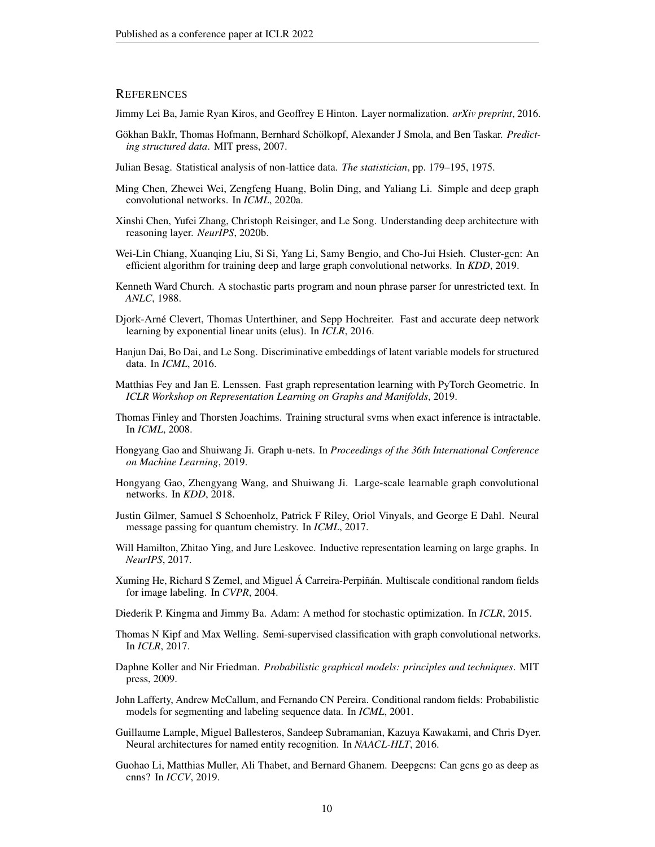#### **REFERENCES**

<span id="page-9-21"></span>Jimmy Lei Ba, Jamie Ryan Kiros, and Geoffrey E Hinton. Layer normalization. *arXiv preprint*, 2016.

- <span id="page-9-3"></span>Gökhan BakIr, Thomas Hofmann, Bernhard Schölkopf, Alexander J Smola, and Ben Taskar. Predict*ing structured data*. MIT press, 2007.
- <span id="page-9-16"></span>Julian Besag. Statistical analysis of non-lattice data. *The statistician*, pp. 179–195, 1975.
- <span id="page-9-10"></span>Ming Chen, Zhewei Wei, Zengfeng Huang, Bolin Ding, and Yaliang Li. Simple and deep graph convolutional networks. In *ICML*, 2020a.
- <span id="page-9-15"></span>Xinshi Chen, Yufei Zhang, Christoph Reisinger, and Le Song. Understanding deep architecture with reasoning layer. *NeurIPS*, 2020b.
- <span id="page-9-8"></span>Wei-Lin Chiang, Xuanqing Liu, Si Si, Yang Li, Samy Bengio, and Cho-Jui Hsieh. Cluster-gcn: An efficient algorithm for training deep and large graph convolutional networks. In *KDD*, 2019.
- <span id="page-9-5"></span>Kenneth Ward Church. A stochastic parts program and noun phrase parser for unrestricted text. In *ANLC*, 1988.
- <span id="page-9-20"></span>Djork-Arne Clevert, Thomas Unterthiner, and Sepp Hochreiter. Fast and accurate deep network ´ learning by exponential linear units (elus). In *ICLR*, 2016.
- <span id="page-9-14"></span>Hanjun Dai, Bo Dai, and Le Song. Discriminative embeddings of latent variable models for structured data. In *ICML*, 2016.
- <span id="page-9-19"></span>Matthias Fey and Jan E. Lenssen. Fast graph representation learning with PyTorch Geometric. In *ICLR Workshop on Representation Learning on Graphs and Manifolds*, 2019.
- <span id="page-9-11"></span>Thomas Finley and Thorsten Joachims. Training structural svms when exact inference is intractable. In *ICML*, 2008.
- <span id="page-9-6"></span>Hongyang Gao and Shuiwang Ji. Graph u-nets. In *Proceedings of the 36th International Conference on Machine Learning*, 2019.
- <span id="page-9-7"></span>Hongyang Gao, Zhengyang Wang, and Shuiwang Ji. Large-scale learnable graph convolutional networks. In *KDD*, 2018.
- <span id="page-9-2"></span>Justin Gilmer, Samuel S Schoenholz, Patrick F Riley, Oriol Vinyals, and George E Dahl. Neural message passing for quantum chemistry. In *ICML*, 2017.
- <span id="page-9-1"></span>Will Hamilton, Zhitao Ying, and Jure Leskovec. Inductive representation learning on large graphs. In *NeurIPS*, 2017.
- <span id="page-9-12"></span>Xuming He, Richard S Zemel, and Miguel Á Carreira-Perpiñán. Multiscale conditional random fields for image labeling. In *CVPR*, 2004.
- <span id="page-9-18"></span>Diederik P. Kingma and Jimmy Ba. Adam: A method for stochastic optimization. In *ICLR*, 2015.
- <span id="page-9-0"></span>Thomas N Kipf and Max Welling. Semi-supervised classification with graph convolutional networks. In *ICLR*, 2017.
- <span id="page-9-17"></span>Daphne Koller and Nir Friedman. *Probabilistic graphical models: principles and techniques*. MIT press, 2009.
- <span id="page-9-4"></span>John Lafferty, Andrew McCallum, and Fernando CN Pereira. Conditional random fields: Probabilistic models for segmenting and labeling sequence data. In *ICML*, 2001.
- <span id="page-9-13"></span>Guillaume Lample, Miguel Ballesteros, Sandeep Subramanian, Kazuya Kawakami, and Chris Dyer. Neural architectures for named entity recognition. In *NAACL-HLT*, 2016.
- <span id="page-9-9"></span>Guohao Li, Matthias Muller, Ali Thabet, and Bernard Ghanem. Deepgcns: Can gcns go as deep as cnns? In *ICCV*, 2019.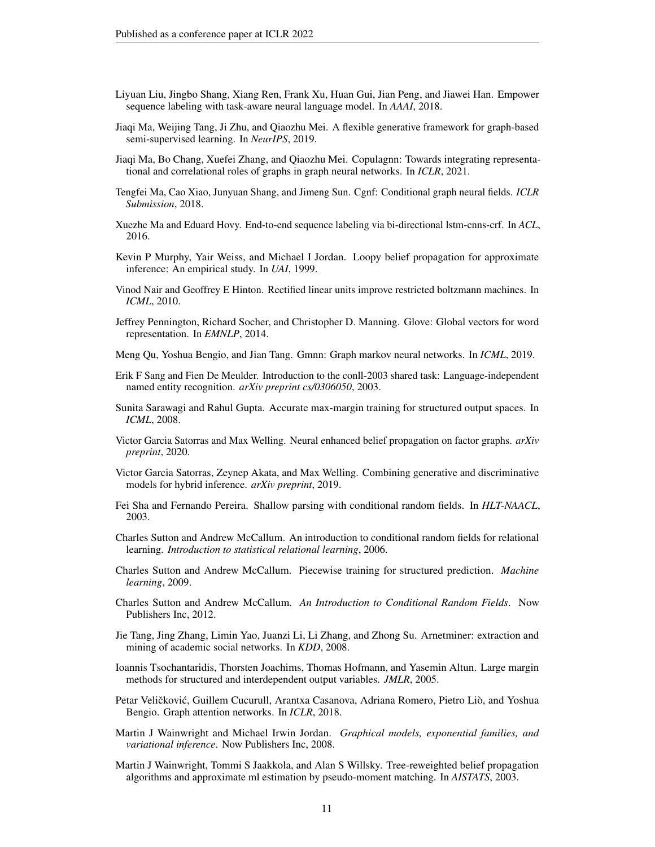- <span id="page-10-12"></span>Liyuan Liu, Jingbo Shang, Xiang Ren, Frank Xu, Huan Gui, Jian Peng, and Jiawei Han. Empower sequence labeling with task-aware neural language model. In *AAAI*, 2018.
- <span id="page-10-15"></span>Jiaqi Ma, Weijing Tang, Ji Zhu, and Qiaozhu Mei. A flexible generative framework for graph-based semi-supervised learning. In *NeurIPS*, 2019.
- <span id="page-10-16"></span>Jiaqi Ma, Bo Chang, Xuefei Zhang, and Qiaozhu Mei. Copulagnn: Towards integrating representational and correlational roles of graphs in graph neural networks. In *ICLR*, 2021.
- <span id="page-10-1"></span>Tengfei Ma, Cao Xiao, Junyuan Shang, and Jimeng Sun. Cgnf: Conditional graph neural fields. *ICLR Submission*, 2018.
- <span id="page-10-11"></span>Xuezhe Ma and Eduard Hovy. End-to-end sequence labeling via bi-directional lstm-cnns-crf. In *ACL*, 2016.
- <span id="page-10-5"></span>Kevin P Murphy, Yair Weiss, and Michael I Jordan. Loopy belief propagation for approximate inference: An empirical study. In *UAI*, 1999.
- <span id="page-10-21"></span>Vinod Nair and Geoffrey E Hinton. Rectified linear units improve restricted boltzmann machines. In *ICML*, 2010.
- <span id="page-10-20"></span>Jeffrey Pennington, Richard Socher, and Christopher D. Manning. Glove: Global vectors for word representation. In *EMNLP*, 2014.
- <span id="page-10-2"></span>Meng Qu, Yoshua Bengio, and Jian Tang. Gmnn: Graph markov neural networks. In *ICML*, 2019.
- <span id="page-10-6"></span>Erik F Sang and Fien De Meulder. Introduction to the conll-2003 shared task: Language-independent named entity recognition. *arXiv preprint cs/0306050*, 2003.
- <span id="page-10-8"></span>Sunita Sarawagi and Rahul Gupta. Accurate max-margin training for structured output spaces. In *ICML*, 2008.
- <span id="page-10-14"></span>Victor Garcia Satorras and Max Welling. Neural enhanced belief propagation on factor graphs. *arXiv preprint*, 2020.
- <span id="page-10-13"></span>Victor Garcia Satorras, Zeynep Akata, and Max Welling. Combining generative and discriminative models for hybrid inference. *arXiv preprint*, 2019.
- <span id="page-10-10"></span>Fei Sha and Fernando Pereira. Shallow parsing with conditional random fields. In *HLT-NAACL*, 2003.
- <span id="page-10-9"></span>Charles Sutton and Andrew McCallum. An introduction to conditional random fields for relational learning. *Introduction to statistical relational learning*, 2006.
- <span id="page-10-17"></span>Charles Sutton and Andrew McCallum. Piecewise training for structured prediction. *Machine learning*, 2009.
- <span id="page-10-4"></span>Charles Sutton and Andrew McCallum. *An Introduction to Conditional Random Fields*. Now Publishers Inc, 2012.
- <span id="page-10-19"></span>Jie Tang, Jing Zhang, Limin Yao, Juanzi Li, Li Zhang, and Zhong Su. Arnetminer: extraction and mining of academic social networks. In *KDD*, 2008.
- <span id="page-10-7"></span>Ioannis Tsochantaridis, Thorsten Joachims, Thomas Hofmann, and Yasemin Altun. Large margin methods for structured and interdependent output variables. *JMLR*, 2005.
- <span id="page-10-0"></span>Petar Veličković, Guillem Cucurull, Arantxa Casanova, Adriana Romero, Pietro Liò, and Yoshua Bengio. Graph attention networks. In *ICLR*, 2018.
- <span id="page-10-3"></span>Martin J Wainwright and Michael Irwin Jordan. *Graphical models, exponential families, and variational inference*. Now Publishers Inc, 2008.
- <span id="page-10-18"></span>Martin J Wainwright, Tommi S Jaakkola, and Alan S Willsky. Tree-reweighted belief propagation algorithms and approximate ml estimation by pseudo-moment matching. In *AISTATS*, 2003.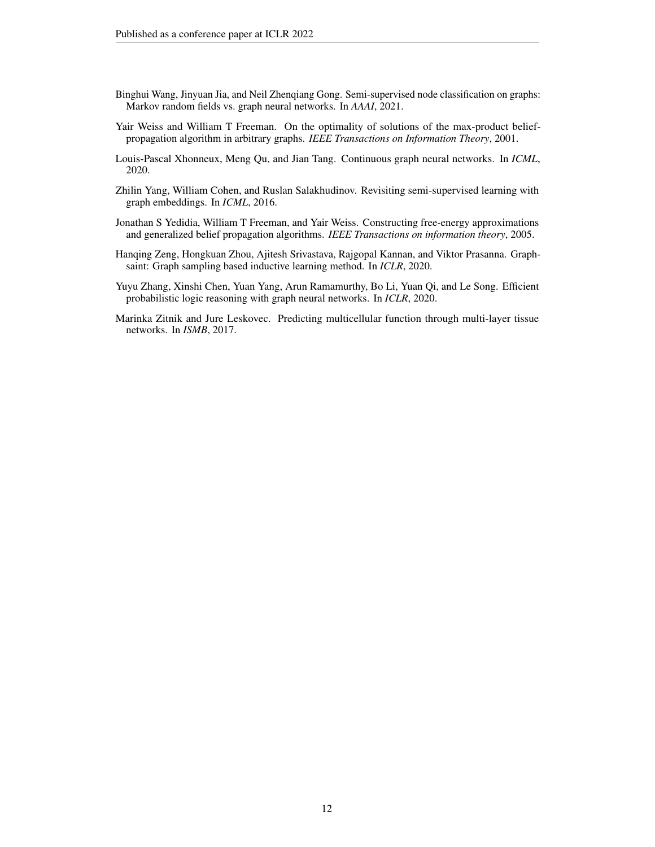- <span id="page-11-4"></span>Binghui Wang, Jinyuan Jia, and Neil Zhenqiang Gong. Semi-supervised node classification on graphs: Markov random fields vs. graph neural networks. In *AAAI*, 2021.
- <span id="page-11-5"></span>Yair Weiss and William T Freeman. On the optimality of solutions of the max-product beliefpropagation algorithm in arbitrary graphs. *IEEE Transactions on Information Theory*, 2001.
- <span id="page-11-1"></span>Louis-Pascal Xhonneux, Meng Qu, and Jian Tang. Continuous graph neural networks. In *ICML*, 2020.
- <span id="page-11-0"></span>Zhilin Yang, William Cohen, and Ruslan Salakhudinov. Revisiting semi-supervised learning with graph embeddings. In *ICML*, 2016.
- <span id="page-11-7"></span>Jonathan S Yedidia, William T Freeman, and Yair Weiss. Constructing free-energy approximations and generalized belief propagation algorithms. *IEEE Transactions on information theory*, 2005.
- <span id="page-11-2"></span>Hanqing Zeng, Hongkuan Zhou, Ajitesh Srivastava, Rajgopal Kannan, and Viktor Prasanna. Graphsaint: Graph sampling based inductive learning method. In *ICLR*, 2020.
- <span id="page-11-3"></span>Yuyu Zhang, Xinshi Chen, Yuan Yang, Arun Ramamurthy, Bo Li, Yuan Qi, and Le Song. Efficient probabilistic logic reasoning with graph neural networks. In *ICLR*, 2020.
- <span id="page-11-6"></span>Marinka Zitnik and Jure Leskovec. Predicting multicellular function through multi-layer tissue networks. In *ISMB*, 2017.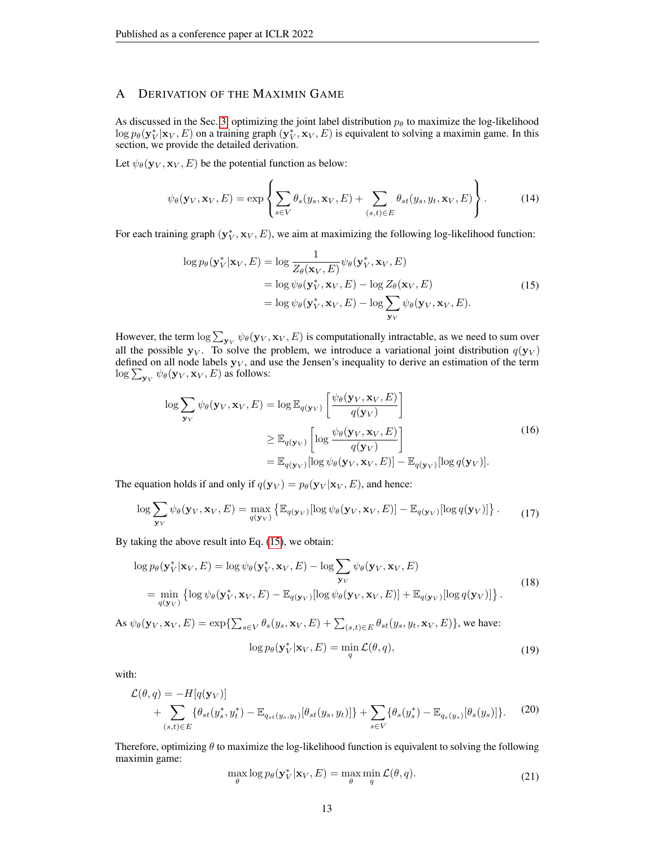# <span id="page-12-0"></span>A DERIVATION OF THE MAXIMIN GAME

As discussed in the Sec. [3,](#page-2-4) optimizing the joint label distribution  $p_\theta$  to maximize the log-likelihood  $\log p_\theta(\mathbf{y}_V^*|\mathbf{x}_V, E)$  on a training graph  $(\mathbf{y}_V^*, \mathbf{x}_V, E)$  is equivalent to solving a maximin game. In this section, we provide the detailed derivation.

Let  $\psi_{\theta}(\mathbf{y}_V, \mathbf{x}_V, E)$  be the potential function as below:

$$
\psi_{\theta}(\mathbf{y}_{V}, \mathbf{x}_{V}, E) = \exp \left\{ \sum_{s \in V} \theta_{s}(y_{s}, \mathbf{x}_{V}, E) + \sum_{(s,t) \in E} \theta_{st}(y_{s}, y_{t}, \mathbf{x}_{V}, E) \right\}.
$$
 (14)

For each training graph  $(\mathbf{y}_V^*, \mathbf{x}_V, E)$ , we aim at maximizing the following log-likelihood function:

<span id="page-12-1"></span>
$$
\log p_{\theta}(\mathbf{y}_{V}^{*}|\mathbf{x}_{V}, E) = \log \frac{1}{Z_{\theta}(\mathbf{x}_{V}, E)} \psi_{\theta}(\mathbf{y}_{V}^{*}, \mathbf{x}_{V}, E)
$$
  
=  $\log \psi_{\theta}(\mathbf{y}_{V}^{*}, \mathbf{x}_{V}, E) - \log Z_{\theta}(\mathbf{x}_{V}, E)$   
=  $\log \psi_{\theta}(\mathbf{y}_{V}^{*}, \mathbf{x}_{V}, E) - \log \sum_{\mathbf{y}_{V}} \psi_{\theta}(\mathbf{y}_{V}, \mathbf{x}_{V}, E).$  (15)

However, the term  $\log \sum_{\mathbf{y}_V} \psi_{\theta}(\mathbf{y}_V, \mathbf{x}_V, E)$  is computationally intractable, as we need to sum over all the possible  $y_V$ . To solve the problem, we introduce a variational joint distribution  $q(y_V)$ defined on all node labels  $y_V$ , and use the Jensen's inequality to derive an estimation of the term  $\log \sum_{{\mathbf y}_V} \psi_{\theta}({\mathbf y}_V, {\mathbf x}_V, E)$  as follows:

$$
\log \sum_{\mathbf{y}_V} \psi_{\theta}(\mathbf{y}_V, \mathbf{x}_V, E) = \log \mathbb{E}_{q(\mathbf{y}_V)} \left[ \frac{\psi_{\theta}(\mathbf{y}_V, \mathbf{x}_V, E)}{q(\mathbf{y}_V)} \right]
$$
  
\n
$$
\geq \mathbb{E}_{q(\mathbf{y}_V)} \left[ \log \frac{\psi_{\theta}(\mathbf{y}_V, \mathbf{x}_V, E)}{q(\mathbf{y}_V)} \right]
$$
  
\n
$$
= \mathbb{E}_{q(\mathbf{y}_V)} [\log \psi_{\theta}(\mathbf{y}_V, \mathbf{x}_V, E)] - \mathbb{E}_{q(\mathbf{y}_V)} [\log q(\mathbf{y}_V)].
$$
\n(16)

The equation holds if and only if  $q(\mathbf{y}_V) = p_\theta(\mathbf{y}_V | \mathbf{x}_V, E)$ , and hence:

$$
\log \sum_{\mathbf{y}_V} \psi_{\theta}(\mathbf{y}_V, \mathbf{x}_V, E) = \max_{q(\mathbf{y}_V)} \left\{ \mathbb{E}_{q(\mathbf{y}_V)}[\log \psi_{\theta}(\mathbf{y}_V, \mathbf{x}_V, E)] - \mathbb{E}_{q(\mathbf{y}_V)}[\log q(\mathbf{y}_V)] \right\}.
$$
 (17)

By taking the above result into Eq. [\(15\)](#page-12-1), we obtain:

$$
\log p_{\theta}(\mathbf{y}_{V}^{*}|\mathbf{x}_{V}, E) = \log \psi_{\theta}(\mathbf{y}_{V}^{*}, \mathbf{x}_{V}, E) - \log \sum_{\mathbf{y}_{V}} \psi_{\theta}(\mathbf{y}_{V}, \mathbf{x}_{V}, E)
$$
\n
$$
= \min_{q(\mathbf{y}_{V})} \left\{ \log \psi_{\theta}(\mathbf{y}_{V}^{*}, \mathbf{x}_{V}, E) - \mathbb{E}_{q(\mathbf{y}_{V})}[\log \psi_{\theta}(\mathbf{y}_{V}, \mathbf{x}_{V}, E)] + \mathbb{E}_{q(\mathbf{y}_{V})}[\log q(\mathbf{y}_{V})] \right\}.
$$
\n(18)

As  $\psi_{\theta}(\mathbf{y}_V, \mathbf{x}_V, E) = \exp\{\sum_{s \in V} \theta_s(y_s, \mathbf{x}_V, E) + \sum_{(s,t) \in E} \theta_{st}(y_s, y_t, \mathbf{x}_V, E)\}\,$ , we have:

$$
\log p_{\theta}(\mathbf{y}_{V}^{*}|\mathbf{x}_{V}, E) = \min_{q} \mathcal{L}(\theta, q),
$$
\n(19)

with:

$$
\mathcal{L}(\theta, q) = -H[q(\mathbf{y}_V)] + \sum_{(s,t) \in E} {\{\theta_{st}(y_s^*, y_t^*) - \mathbb{E}_{q_{st}(y_s, y_t)}[\theta_{st}(y_s, y_t)]\}} + \sum_{s \in V} {\{\theta_s(y_s^*) - \mathbb{E}_{q_s(y_s)}[\theta_s(y_s)]\}}.
$$
(20)

Therefore, optimizing  $\theta$  to maximize the log-likelihood function is equivalent to solving the following maximin game:

$$
\max_{\theta} \log p_{\theta}(\mathbf{y}_{V}^{*}|\mathbf{x}_{V}, E) = \max_{\theta} \min_{q} \mathcal{L}(\theta, q). \tag{21}
$$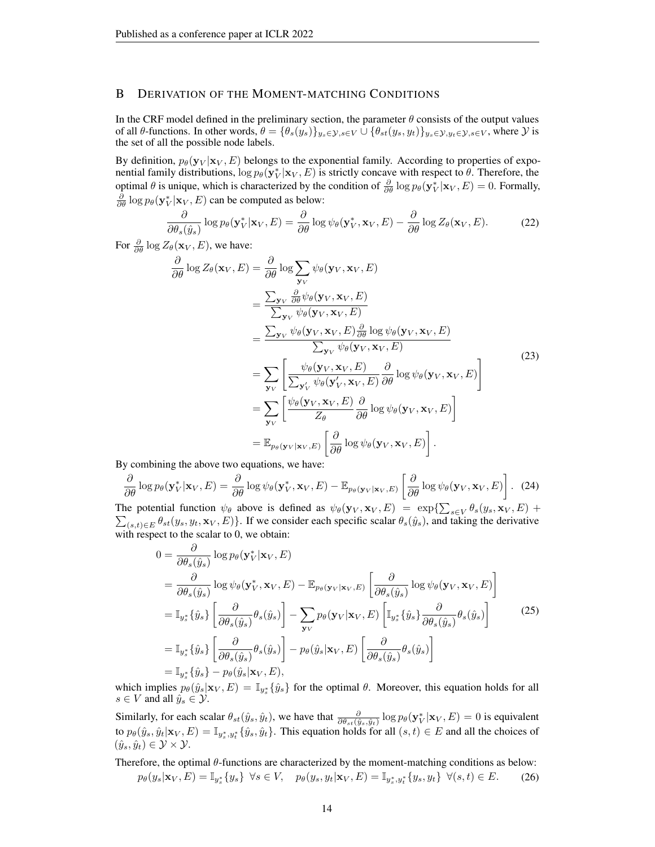## <span id="page-13-0"></span>B DERIVATION OF THE MOMENT-MATCHING CONDITIONS

In the CRF model defined in the preliminary section, the parameter  $\theta$  consists of the output values of all  $\theta$ -functions. In other words,  $\theta = {\theta_s(y_s)}_{y_s \in \mathcal{Y}, s \in V} \cup {\theta_{st}(y_s, y_t)}_{y_s \in \mathcal{Y}, y_t \in \mathcal{Y}, s \in V}$ , where  $\mathcal Y$  is the set of all the possible node labels.

By definition,  $p_{\theta}(\mathbf{y}_V | \mathbf{x}_V, E)$  belongs to the exponential family. According to properties of exponential family distributions,  $\log p_\theta(\mathbf{y}_V^*|\mathbf{x}_V, E)$  is strictly concave with respect to  $\theta$ . Therefore, the optimal  $\theta$  is unique, which is characterized by the condition of  $\frac{\partial}{\partial \theta} \log p_{\theta}(\mathbf{y}_{V}^{*}|\mathbf{x}_{V}, E) = 0$ . Formally,  $\frac{\partial}{\partial \theta} \log p_{\theta}(\mathbf{y}_{V}^*|\mathbf{x}_{V}, E)$  can be computed as below:

$$
\frac{\partial}{\partial \theta_s(\hat{y}_s)} \log p_\theta(\mathbf{y}_V^*|\mathbf{x}_V, E) = \frac{\partial}{\partial \theta} \log \psi_\theta(\mathbf{y}_V^*, \mathbf{x}_V, E) - \frac{\partial}{\partial \theta} \log Z_\theta(\mathbf{x}_V, E). \tag{22}
$$

For  $\frac{\partial}{\partial \theta} \log Z_{\theta}(\mathbf{x}_V, E)$ , we have:

$$
\frac{\partial}{\partial \theta} \log Z_{\theta}(\mathbf{x}_{V}, E) = \frac{\partial}{\partial \theta} \log \sum_{\mathbf{y}_{V}} \psi_{\theta}(\mathbf{y}_{V}, \mathbf{x}_{V}, E)
$$
\n
$$
= \frac{\sum_{\mathbf{y}_{V}} \frac{\partial}{\partial \theta} \psi_{\theta}(\mathbf{y}_{V}, \mathbf{x}_{V}, E)}{\sum_{\mathbf{y}_{V}} \psi_{\theta}(\mathbf{y}_{V}, \mathbf{x}_{V}, E)}
$$
\n
$$
= \frac{\sum_{\mathbf{y}_{V}} \psi_{\theta}(\mathbf{y}_{V}, \mathbf{x}_{V}, E)}{\sum_{\mathbf{y}_{V}} \psi_{\theta}(\mathbf{y}_{V}, \mathbf{x}_{V}, E)}
$$
\n
$$
= \sum_{\mathbf{y}_{V}} \left[ \frac{\psi_{\theta}(\mathbf{y}_{V}, \mathbf{x}_{V}, E)}{\sum_{\mathbf{y}_{V}} \psi_{\theta}(\mathbf{y}_{V}, \mathbf{x}_{V}, E)} \frac{\partial}{\partial \theta} \log \psi_{\theta}(\mathbf{y}_{V}, \mathbf{x}_{V}, E) \right]
$$
\n
$$
= \sum_{\mathbf{y}_{V}} \left[ \frac{\psi_{\theta}(\mathbf{y}_{V}, \mathbf{x}_{V}, E)}{Z_{\theta}} \frac{\partial}{\partial \theta} \log \psi_{\theta}(\mathbf{y}_{V}, \mathbf{x}_{V}, E) \right]
$$
\n
$$
= \mathbb{E}_{p_{\theta}(\mathbf{y}_{V} | \mathbf{x}_{V}, E)} \left[ \frac{\partial}{\partial \theta} \log \psi_{\theta}(\mathbf{y}_{V}, \mathbf{x}_{V}, E) \right].
$$
\n(23)

By combining the above two equations, we have:

$$
\frac{\partial}{\partial \theta} \log p_{\theta}(\mathbf{y}_{V}^{*}|\mathbf{x}_{V}, E) = \frac{\partial}{\partial \theta} \log \psi_{\theta}(\mathbf{y}_{V}^{*}, \mathbf{x}_{V}, E) - \mathbb{E}_{p_{\theta}(\mathbf{y}_{V}|\mathbf{x}_{V}, E)} \left[ \frac{\partial}{\partial \theta} \log \psi_{\theta}(\mathbf{y}_{V}, \mathbf{x}_{V}, E) \right].
$$
 (24)

The potential function  $\psi_{\theta}$  above is defined as  $\psi_{\theta}(y_V, x_V, E) = \exp\{\sum_{s \in V} \theta_s(y_s, x_V, E) +$  $\sum_{(s,t)\in E} \theta_{st}(y_s, y_t, \mathbf{x}_V, E)$ . If we consider each specific scalar  $\theta_s(\hat{y}_s)$ , and taking the derivative with respect to the scalar to 0, we obtain:

$$
0 = \frac{\partial}{\partial \theta_s(\hat{y}_s)} \log p_{\theta}(\mathbf{y}_V^* | \mathbf{x}_V, E)
$$
  
\n
$$
= \frac{\partial}{\partial \theta_s(\hat{y}_s)} \log \psi_{\theta}(\mathbf{y}_V^*, \mathbf{x}_V, E) - \mathbb{E}_{p_{\theta}(\mathbf{y}_V | \mathbf{x}_V, E)} \left[ \frac{\partial}{\partial \theta_s(\hat{y}_s)} \log \psi_{\theta}(\mathbf{y}_V, \mathbf{x}_V, E) \right]
$$
  
\n
$$
= \mathbb{I}_{y_s^*} \{\hat{y}_s\} \left[ \frac{\partial}{\partial \theta_s(\hat{y}_s)} \theta_s(\hat{y}_s) \right] - \sum_{\mathbf{y}_V} p_{\theta}(\mathbf{y}_V | \mathbf{x}_V, E) \left[ \mathbb{I}_{y_s^*} \{\hat{y}_s\} \frac{\partial}{\partial \theta_s(\hat{y}_s)} \theta_s(\hat{y}_s) \right]
$$
  
\n
$$
= \mathbb{I}_{y_s^*} \{\hat{y}_s\} \left[ \frac{\partial}{\partial \theta_s(\hat{y}_s)} \theta_s(\hat{y}_s) \right] - p_{\theta}(\hat{y}_s | \mathbf{x}_V, E) \left[ \frac{\partial}{\partial \theta_s(\hat{y}_s)} \theta_s(\hat{y}_s) \right]
$$
  
\n
$$
= \mathbb{I}_{y_s^*} \{\hat{y}_s\} - p_{\theta}(\hat{y}_s | \mathbf{x}_V, E),
$$

which implies  $p_{\theta}(\hat{y}_s | \mathbf{x}_V, E) = \mathbb{I}_{y_s^*} {\hat{y}_s}$  for the optimal  $\theta$ . Moreover, this equation holds for all  $s \in V$  and all  $\hat{y}_s \in \mathcal{Y}$ .

Similarly, for each scalar  $\theta_{st}(\hat{y}_s, \hat{y}_t)$ , we have that  $\frac{\partial}{\partial \theta_{st}(\hat{y}_s, \hat{y}_t)} \log p_\theta(\mathbf{y}_V^*|\mathbf{x}_V, E) = 0$  is equivalent to  $p_\theta(\hat{y}_s, \hat{y}_t | \mathbf{x}_V, E) = \mathbb{I}_{y_s^*, y_t^*} {\hat{y}_s, \hat{y}_t}.$  This equation holds for all  $(s, t) \in E$  and all the choices of  $(\hat{y}_s, \hat{y}_t) \in \mathcal{Y} \times \mathcal{Y}$ .

Therefore, the optimal  $\theta$ -functions are characterized by the moment-matching conditions as below:  $p_{\theta}(y_s | \mathbf{x}_V, E) = \mathbb{I}_{y_s^*}\{y_s\} \quad \forall s \in V, \quad p_{\theta}(y_s, y_t | \mathbf{x}_V, E) = \mathbb{I}_{y_s^*, y_t^*}\{y_s, y_t\} \quad \forall (s, t) \in E.$  (26)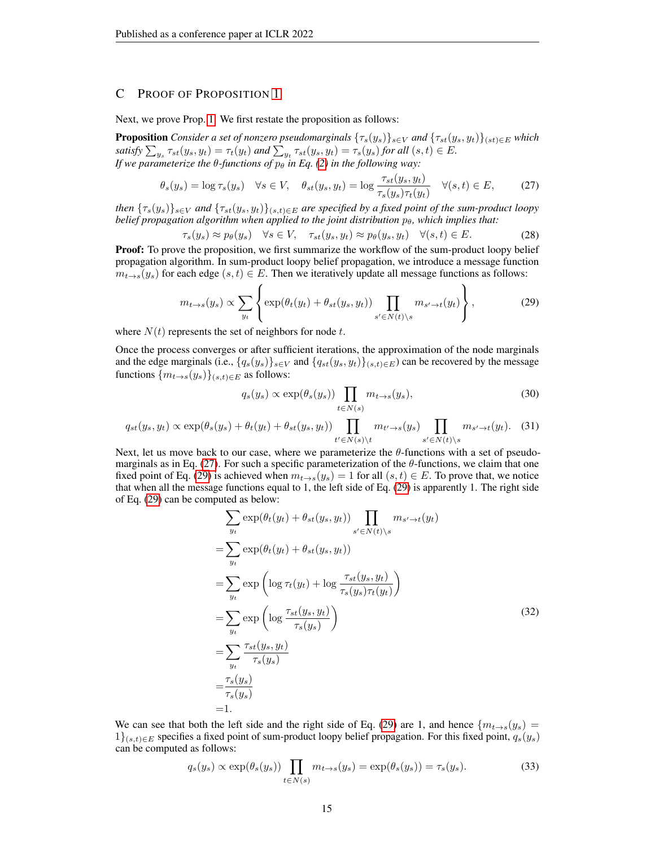## <span id="page-14-0"></span>C PROOF OF PROPOSITION [1](#page-4-0)

Next, we prove Prop. [1.](#page-4-0) We first restate the proposition as follows:

**Proposition** *Consider a set of nonzero pseudomarginals*  $\{\tau_s(y_s)\}_{s\in V}$  *and*  $\{\tau_{st}(y_s, y_t)\}_{(st)\in E}$  *which* satisfy  $\sum_{y_s} \tau_{st}(y_s, y_t) = \tau_t(y_t)$  and  $\sum_{y_t} \tau_{st}(y_s, y_t) = \tau_s(y_s)$  for all  $(s, t) \in E$ . *If we parameterize the*  $\theta$ *-functions of*  $p_{\theta}$  *in Eq. [\(2\)](#page-2-3) in the following way:* 

<span id="page-14-1"></span>
$$
\theta_s(y_s) = \log \tau_s(y_s) \quad \forall s \in V, \quad \theta_{st}(y_s, y_t) = \log \frac{\tau_{st}(y_s, y_t)}{\tau_s(y_s)\tau_t(y_t)} \quad \forall (s, t) \in E,\tag{27}
$$

*then*  $\{\tau_s(y_s)\}_{s\in V}$  *and*  $\{\tau_{st}(y_s, y_t)\}_{(s,t)\in E}$  *are specified by a fixed point of the sum-product loopy belief propagation algorithm when applied to the joint distribution*  $p_{\theta}$ *, which implies that:* 

$$
\tau_s(y_s) \approx p_\theta(y_s) \quad \forall s \in V, \quad \tau_{st}(y_s, y_t) \approx p_\theta(y_s, y_t) \quad \forall (s, t) \in E. \tag{28}
$$

**Proof:** To prove the proposition, we first summarize the workflow of the sum-product loopy belief propagation algorithm. In sum-product loopy belief propagation, we introduce a message function  $m_{t\rightarrow s}(y_s)$  for each edge  $(s, t) \in E$ . Then we iteratively update all message functions as follows:

<span id="page-14-2"></span>
$$
m_{t \to s}(y_s) \propto \sum_{y_t} \left\{ \exp(\theta_t(y_t) + \theta_{st}(y_s, y_t)) \prod_{s' \in N(t) \setminus s} m_{s' \to t}(y_t) \right\},\tag{29}
$$

where  $N(t)$  represents the set of neighbors for node t.

Once the process converges or after sufficient iterations, the approximation of the node marginals and the edge marginals (i.e.,  $\{q_s(y_s)\}_{s\in V}$  and  $\{q_{st}(y_s, y_t)\}_{(s,t)\in E}$ ) can be recovered by the message functions  $\{m_{t\to s}(y_s)\}_{(s,t)\in E}$  as follows:

$$
q_s(y_s) \propto \exp(\theta_s(y_s)) \prod_{t \in N(s)} m_{t \to s}(y_s), \tag{30}
$$

$$
q_{st}(y_s, y_t) \propto \exp(\theta_s(y_s) + \theta_t(y_t) + \theta_{st}(y_s, y_t)) \prod_{t' \in N(s) \backslash t} m_{t' \to s}(y_s) \prod_{s' \in N(t) \backslash s} m_{s' \to t}(y_t). \tag{31}
$$

Next, let us move back to our case, where we parameterize the  $\theta$ -functions with a set of pseudo-marginals as in Eq. [\(27\)](#page-14-1). For such a specific parameterization of the  $\theta$ -functions, we claim that one fixed point of Eq. [\(29\)](#page-14-2) is achieved when  $m_{t\rightarrow s}(y_s) = 1$  for all  $(s, t) \in E$ . To prove that, we notice that when all the message functions equal to 1, the left side of Eq. [\(29\)](#page-14-2) is apparently 1. The right side of Eq. [\(29\)](#page-14-2) can be computed as below:

$$
\sum_{y_t} \exp(\theta_t(y_t) + \theta_{st}(y_s, y_t)) \prod_{s' \in N(t) \setminus s} m_{s' \to t}(y_t)
$$
\n
$$
= \sum_{y_t} \exp(\theta_t(y_t) + \theta_{st}(y_s, y_t))
$$
\n
$$
= \sum_{y_t} \exp\left(\log \tau_t(y_t) + \log \frac{\tau_{st}(y_s, y_t)}{\tau_s(y_s)\tau_t(y_t)}\right)
$$
\n
$$
= \sum_{y_t} \exp\left(\log \frac{\tau_{st}(y_s, y_t)}{\tau_s(y_s)}\right)
$$
\n
$$
= \sum_{y_t} \frac{\tau_{st}(y_s, y_t)}{\tau_s(y_s)}
$$
\n
$$
= \frac{\tau_s(y_s)}{\tau_s(y_s)}
$$
\n
$$
= 1.
$$
\n(32)

We can see that both the left side and the right side of Eq. [\(29\)](#page-14-2) are 1, and hence  ${m_{t\rightarrow s}(y_s) =$  $1$ <sub>(s,t)∈E</sub> specifies a fixed point of sum-product loopy belief propagation. For this fixed point,  $q_s(y_s)$ can be computed as follows:

$$
q_s(y_s) \propto \exp(\theta_s(y_s)) \prod_{t \in N(s)} m_{t \to s}(y_s) = \exp(\theta_s(y_s)) = \tau_s(y_s). \tag{33}
$$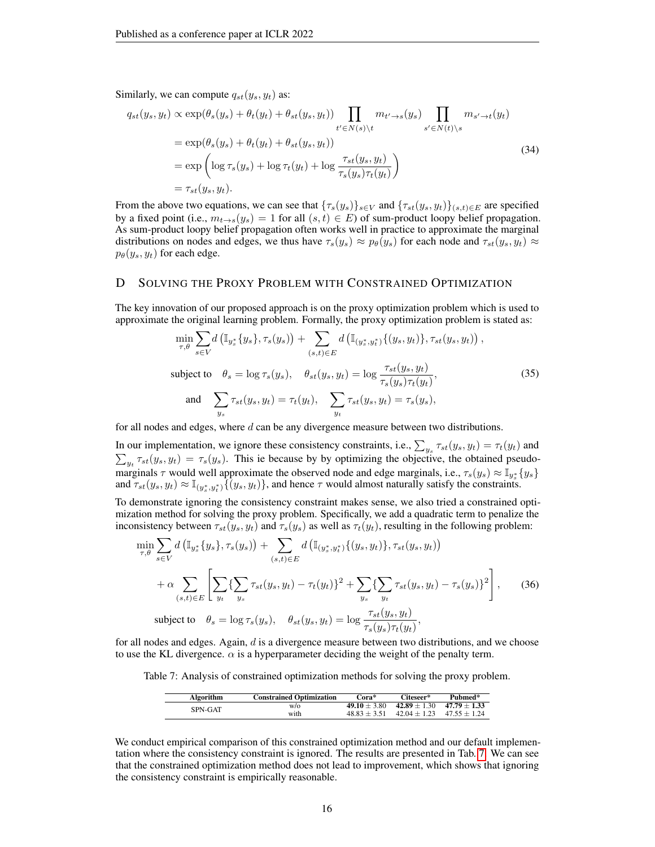Similarly, we can compute  $q_{st}(y_s, y_t)$  as:

$$
q_{st}(y_s, y_t) \propto \exp(\theta_s(y_s) + \theta_t(y_t) + \theta_{st}(y_s, y_t)) \prod_{t' \in N(s)\setminus t} m_{t' \to s}(y_s) \prod_{s' \in N(t)\setminus s} m_{s' \to t}(y_t)
$$
  
= 
$$
\exp(\theta_s(y_s) + \theta_t(y_t) + \theta_{st}(y_s, y_t))
$$
  
= 
$$
\exp\left(\log \tau_s(y_s) + \log \tau_t(y_t) + \log \frac{\tau_{st}(y_s, y_t)}{\tau_s(y_s)\tau_t(y_t)}\right)
$$
  
= 
$$
\tau_{st}(y_s, y_t).
$$
 (34)

From the above two equations, we can see that  ${\tau_s(y_s)}_{s\in V}$  and  ${\tau_{st}(y_s, y_t)}_{(s,t)\in E}$  are specified by a fixed point (i.e.,  $m_{t\rightarrow s}(y_s) = 1$  for all  $(s, t) \in E$ ) of sum-product loopy belief propagation. As sum-product loopy belief propagation often works well in practice to approximate the marginal distributions on nodes and edges, we thus have  $\tau_s(y_s) \approx p_\theta(y_s)$  for each node and  $\tau_{st}(y_s, y_t) \approx$  $p_{\theta}(y_s, y_t)$  for each edge.

## <span id="page-15-0"></span>D SOLVING THE PROXY PROBLEM WITH CONSTRAINED OPTIMIZATION

The key innovation of our proposed approach is on the proxy optimization problem which is used to approximate the original learning problem. Formally, the proxy optimization problem is stated as:

$$
\min_{\tau,\theta} \sum_{s \in V} d\left(\mathbb{I}_{y_s^*}\{y_s\}, \tau_s(y_s)\right) + \sum_{(s,t) \in E} d\left(\mathbb{I}_{(y_s^*, y_t^*)}\{(y_s, y_t)\}, \tau_{st}(y_s, y_t)\right),
$$
\n
$$
\text{subject to} \quad \theta_s = \log \tau_s(y_s), \quad \theta_{st}(y_s, y_t) = \log \frac{\tau_{st}(y_s, y_t)}{\tau_s(y_s)\tau_t(y_t)},
$$
\n
$$
\text{and} \quad \sum_{y_s} \tau_{st}(y_s, y_t) = \tau_t(y_t), \quad \sum_{y_t} \tau_{st}(y_s, y_t) = \tau_s(y_s),
$$
\n
$$
(35)
$$

for all nodes and edges, where  $d$  can be any divergence measure between two distributions.

In our implementation, we ignore these consistency constraints, i.e.,  $\sum_{y_s} \tau_{st}(y_s, y_t) = \tau_t(y_t)$  and  $\sum_{y_t} \tau_{st}(y_s, y_t) = \tau_s(y_s)$ . This ie because by by optimizing the objective, the obtained pseudomarginals  $\tau$  would well approximate the observed node and edge marginals, i.e.,  $\tau_s(y_s) \approx \mathbb{I}_{y_s^*}\{y_s\}$ and  $\tau_{st}(y_s, y_t) \approx \mathbb{I}_{(y_s^*, y_t^*)}\{y_s, y_t\}$ , and hence  $\tau$  would almost naturally satisfy the constraints.

To demonstrate ignoring the consistency constraint makes sense, we also tried a constrained optimization method for solving the proxy problem. Specifically, we add a quadratic term to penalize the inconsistency between  $\tau_{st}(y_s, y_t)$  and  $\tau_s(y_s)$  as well as  $\tau_t(y_t)$ , resulting in the following problem:

$$
\min_{\tau,\theta} \sum_{s \in V} d\left(\mathbb{I}_{y_s^*}\{y_s\}, \tau_s(y_s)\right) + \sum_{(s,t) \in E} d\left(\mathbb{I}_{(y_s^*, y_t^*)}\{(y_s, y_t)\}, \tau_{st}(y_s, y_t)\right) \n+ \alpha \sum_{(s,t) \in E} \left[ \sum_{y_t} \{\sum_{y_s} \tau_{st}(y_s, y_t) - \tau_t(y_t)\}^2 + \sum_{y_s} \{\sum_{y_t} \tau_{st}(y_s, y_t) - \tau_s(y_s)\}^2 \right],
$$
\n(36)

\nsubject to  $\theta_s = \log \tau_s(y_s), \quad \theta_{st}(y_s, y_t) = \log \frac{\tau_{st}(y_s, y_t)}{\tau_s(y_s)\tau_t(y_t)},$ 

for all nodes and edges. Again,  $d$  is a divergence measure between two distributions, and we choose to use the KL divergence.  $\alpha$  is a hyperparameter deciding the weight of the penalty term.

<span id="page-15-1"></span>Table 7: Analysis of constrained optimization methods for solving the proxy problem.

| Algorithm | <b>Constrained Optimization</b> | $Cora*$        | Citeseer*                     | Pubmed* |
|-----------|---------------------------------|----------------|-------------------------------|---------|
| SPN-GAT   | W/O                             | $49.10 + 3.80$ | $42.89 + 1.30$ $47.79 + 1.33$ |         |
|           | with                            | $48.83 + 3.51$ | $42.04 + 1.23$ $47.55 + 1.24$ |         |

We conduct empirical comparison of this constrained optimization method and our default implementation where the consistency constraint is ignored. The results are presented in Tab. [7.](#page-15-1) We can see that the constrained optimization method does not lead to improvement, which shows that ignoring the consistency constraint is empirically reasonable.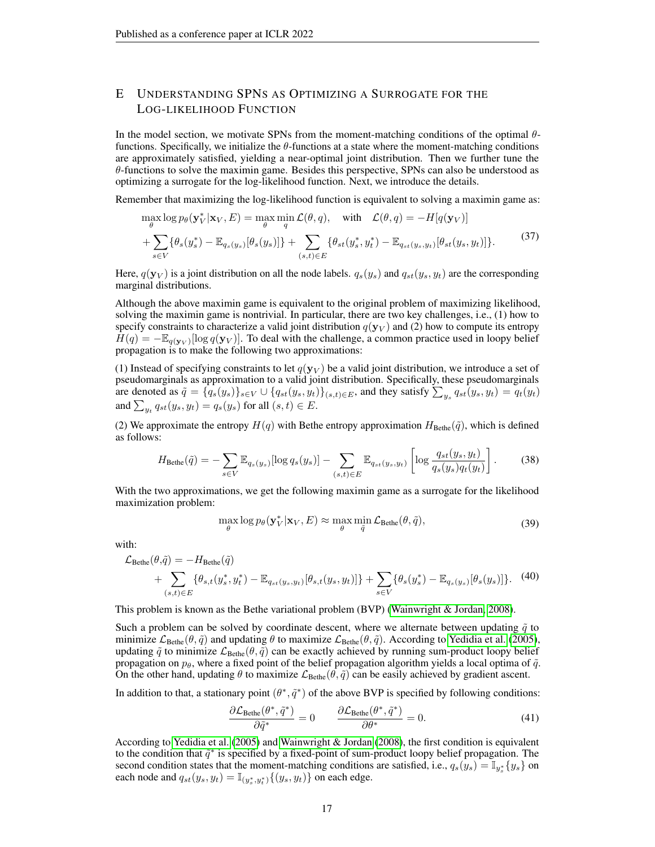# E UNDERSTANDING SPNS AS OPTIMIZING A SURROGATE FOR THE LOG-LIKELIHOOD FUNCTION

In the model section, we motivate SPNs from the moment-matching conditions of the optimal  $\theta$ functions. Specifically, we initialize the  $\theta$ -functions at a state where the moment-matching conditions are approximately satisfied, yielding a near-optimal joint distribution. Then we further tune the θ-functions to solve the maximin game. Besides this perspective, SPNs can also be understood as optimizing a surrogate for the log-likelihood function. Next, we introduce the details.

Remember that maximizing the log-likelihood function is equivalent to solving a maximin game as:

$$
\max_{\theta} \log p_{\theta}(\mathbf{y}_{V}^{*}|\mathbf{x}_{V}, E) = \max_{\theta} \min_{q} \mathcal{L}(\theta, q), \quad \text{with} \quad \mathcal{L}(\theta, q) = -H[q(\mathbf{y}_{V})]
$$
\n
$$
+ \sum_{s \in V} \{\theta_{s}(y_{s}^{*}) - \mathbb{E}_{q_{s}(y_{s})}[\theta_{s}(y_{s})]\} + \sum_{(s,t) \in E} \{\theta_{st}(y_{s}^{*}, y_{t}^{*}) - \mathbb{E}_{q_{st}(y_{s}, y_{t})}[\theta_{st}(y_{s}, y_{t})]\}.
$$
\n(37)

Here,  $q(\mathbf{y}_V)$  is a joint distribution on all the node labels.  $q_s(y_s)$  and  $q_{st}(y_s, y_t)$  are the corresponding marginal distributions.

Although the above maximin game is equivalent to the original problem of maximizing likelihood, solving the maximin game is nontrivial. In particular, there are two key challenges, i.e., (1) how to specify constraints to characterize a valid joint distribution  $q(y_V)$  and (2) how to compute its entropy  $H(q) = -\mathbb{E}_{q(\mathbf{y}_V)}[\log q(\mathbf{y}_V)]$ . To deal with the challenge, a common practice used in loopy belief propagation is to make the following two approximations:

(1) Instead of specifying constraints to let  $q(y_V)$  be a valid joint distribution, we introduce a set of pseudomarginals as approximation to a valid joint distribution. Specifically, these pseudomarginals are denoted as  $\tilde{q} = \{q_s(y_s)\}_{s \in V} \cup \{q_{st}(y_s, y_t)\}_{(s,t) \in E}$ , and they satisfy  $\sum_{y_s} q_{st}(y_s, y_t) = q_t(y_t)$ and  $\sum_{y_t} q_{st}(y_s, y_t) = q_s(y_s)$  for all  $(s, t) \in E$ .

(2) We approximate the entropy  $H(q)$  with Bethe entropy approximation  $H_{\text{Bethe}}(\tilde{q})$ , which is defined as follows:

$$
H_{\text{Bethe}}(\tilde{q}) = -\sum_{s \in V} \mathbb{E}_{q_s(y_s)}[\log q_s(y_s)] - \sum_{(s,t) \in E} \mathbb{E}_{q_{st}(y_s, y_t)} \left[ \log \frac{q_{st}(y_s, y_t)}{q_s(y_s)q_t(y_t)} \right].
$$
 (38)

With the two approximations, we get the following maximin game as a surrogate for the likelihood maximization problem:

<span id="page-16-0"></span>
$$
\max_{\theta} \log p_{\theta}(\mathbf{y}_{V}^{*}|\mathbf{x}_{V}, E) \approx \max_{\theta} \min_{\tilde{q}} \mathcal{L}_{\text{Bethe}}(\theta, \tilde{q}),
$$
\n(39)

with:

$$
\mathcal{L}_{\text{Bethe}}(\theta, \tilde{q}) = -H_{\text{Bethe}}(\tilde{q}) \n+ \sum_{(s,t) \in E} {\{\theta_{s,t}(y_s^*, y_t^*) - \mathbb{E}_{q_{st}(y_s, y_t)}[\theta_{s,t}(y_s, y_t)]\}} + \sum_{s \in V} {\{\theta_s(y_s^*) - \mathbb{E}_{q_s(y_s)}[\theta_s(y_s)]\}}.
$$
\n(40)

This problem is known as the Bethe variational problem (BVP) [\(Wainwright & Jordan, 2008\)](#page-10-3).

Such a problem can be solved by coordinate descent, where we alternate between updating  $\tilde{q}$  to minimize  $\mathcal{L}_{Bethe}(\theta, \tilde{q})$  and updating  $\theta$  to maximize  $\mathcal{L}_{Bethe}(\theta, \tilde{q})$ . According to [Yedidia et al.](#page-11-7) [\(2005\)](#page-11-7), updating  $\tilde{q}$  to minimize  $\mathcal{L}_{Bethe}(\theta, \tilde{q})$  can be exactly achieved by running sum-product loopy belief propagation on  $p_\theta$ , where a fixed point of the belief propagation algorithm yields a local optima of  $\tilde{q}$ . On the other hand, updating  $\theta$  to maximize  $\mathcal{L}_{\text{Bethe}}(\theta, \tilde{q})$  can be easily achieved by gradient ascent.

In addition to that, a stationary point  $(\theta^*, \tilde{q}^*)$  of the above BVP is specified by following conditions:

<span id="page-16-1"></span>
$$
\frac{\partial \mathcal{L}_{\text{Bethe}}(\theta^*, \tilde{q}^*)}{\partial \tilde{q}^*} = 0 \qquad \frac{\partial \mathcal{L}_{\text{Bethe}}(\theta^*, \tilde{q}^*)}{\partial \theta^*} = 0. \tag{41}
$$

According to [Yedidia et al.](#page-11-7) [\(2005\)](#page-11-7) and [Wainwright & Jordan](#page-10-3) [\(2008\)](#page-10-3), the first condition is equivalent to the condition that  $\tilde{q}^*$  is specified by a fixed-point of sum-product loopy belief propagation. The second condition states that the moment-matching conditions are satisfied, i.e.,  $q_s(y_s) = \mathbb{I}_{y_s^*}\{y_s\}$  on each node and  $q_{st}(y_s, y_t) = \mathbb{I}_{(y_s^*, y_t^*)}\{(y_s, y_t)\}$  on each edge.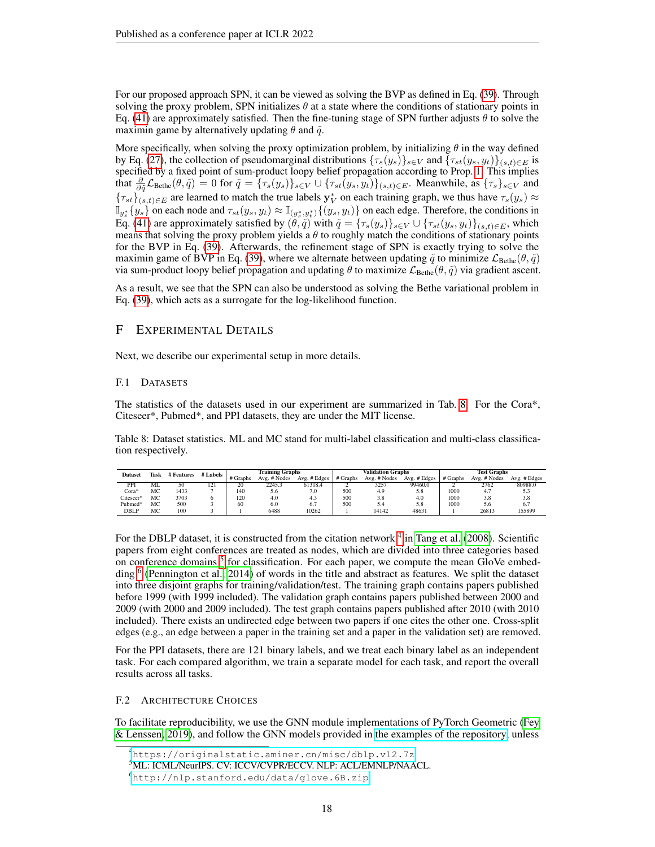For our proposed approach SPN, it can be viewed as solving the BVP as defined in Eq. [\(39\)](#page-16-0). Through solving the proxy problem, SPN initializes  $\theta$  at a state where the conditions of stationary points in Eq. [\(41\)](#page-16-1) are approximately satisfied. Then the fine-tuning stage of SPN further adjusts  $\theta$  to solve the maximin game by alternatively updating  $\theta$  and  $\tilde{q}$ .

More specifically, when solving the proxy optimization problem, by initializing  $\theta$  in the way defined by Eq. [\(27\)](#page-14-1), the collection of pseudomarginal distributions  $\{\tau_s(y_s)\}_{s\in V}$  and  $\{\tau_{st}(y_s, y_t)\}_{(s,t)\in E}$  is specified by a fixed point of sum-product loopy belief propagation according to Prop. [1.](#page-4-0) This implies that  $\frac{\partial}{\partial \tilde{q}} \mathcal{L}_{\text{Bethe}}(\theta, \tilde{q}) = 0$  for  $\tilde{q} = {\tau_s(y_s)}_{s \in V} \cup {\tau_{st}(y_s, y_t)}_{(s,t) \in E}$ . Meanwhile, as  ${\tau_s}_{s \in V}$  and  ${\{\tau_{st}\}}_{(s,t)\in E}$  are learned to match the true labels  $y_V^*$  on each training graph, we thus have  $\tau_s(y_s) \approx$  $\mathbb{I}_{y^*_s}\{y_s\}$  on each node and  $\tau_{st}(y_s, y_t) \approx \mathbb{I}_{(y^*_s, y^*_t)}\{(y_s, y_t)\}$  on each edge. Therefore, the conditions in Eq. [\(41\)](#page-16-1) are approximately satisfied by  $(\theta, \tilde{q})$  with  $\tilde{q} = {\tau_s(y_s)}_{s \in V} \cup {\tau_{st}(y_s, y_t)}_{(s,t) \in E}$ , which means that solving the proxy problem yields a  $\theta$  to roughly match the conditions of stationary points for the BVP in Eq. [\(39\)](#page-16-0). Afterwards, the refinement stage of SPN is exactly trying to solve the maximin game of BVP in Eq. [\(39\)](#page-16-0), where we alternate between updating  $\tilde{q}$  to minimize  $\mathcal{L}_{\text{Bethe}}(\theta, \tilde{q})$ via sum-product loopy belief propagation and updating  $\theta$  to maximize  $\mathcal{L}_{\text{Bethe}}(\theta, \tilde{q})$  via gradient ascent.

As a result, we see that the SPN can also be understood as solving the Bethe variational problem in Eq. [\(39\)](#page-16-0), which acts as a surrogate for the log-likelihood function.

# <span id="page-17-0"></span>F EXPERIMENTAL DETAILS

Next, we describe our experimental setup in more details.

## F.1 DATASETS

The statistics of the datasets used in our experiment are summarized in Tab. [8.](#page-17-1) For the Cora\*, Citeseer\*, Pubmed\*, and PPI datasets, they are under the MIT license.

Table 8: Dataset statistics. ML and MC stand for multi-label classification and multi-class classification respectively.

<span id="page-17-1"></span>

|           |                 |            |            | <b>Training Graphs</b> |              |              | <b>Validation Graphs</b> |              |              | <b>Test Graphs</b> |              |              |
|-----------|-----------------|------------|------------|------------------------|--------------|--------------|--------------------------|--------------|--------------|--------------------|--------------|--------------|
| Dataset   | Task            | # Features | # Labels   | # Graphs               | Avg. # Nodes | Avg. # Edges | # Graphs                 | Avg. # Nodes | Avg. # Edges | # Graphs           | Avg. # Nodes | Avg. # Edges |
| PPI       | ML              |            | $1 \leq 1$ | 20                     | 2245.3       | 61318.4      | ∸                        | 3257         | 99460.0      |                    | 2762         | 80988.0      |
| Cora*     | MC              | 1433       |            | 140                    | 5.6          | 7.0          | 500                      | 4.9          | 5.8          | 1000               | 4.1          | 5.3          |
| Citeseer* | MC <sub>1</sub> | 3703       |            | 120                    | 4.0          | 4.3          | 500                      | 3.8          | 4.0          | 1000               | 3.8          | 3.8          |
| Pubmed*   | MC              | 500        |            | 60                     | 6.0          | 6.7          | 500                      | 5.4          | 5.8          | 1000               | 5.6          | 6.7          |
| DBLP      | MC              | 100        |            |                        | 6488         | 10262        |                          | 14142        | 48631        |                    | 26813        | 155899       |

For the DBLP dataset, it is constructed from the citation network <sup>[4](#page-17-2)</sup> in [Tang et al.](#page-10-19) [\(2008\)](#page-10-19). Scientific papers from eight conferences are treated as nodes, which are divided into three categories based on conference domains  $5$  for classification. For each paper, we compute the mean GloVe embed-ding <sup>[6](#page-17-4)</sup> [\(Pennington et al., 2014\)](#page-10-20) of words in the title and abstract as features. We split the dataset into three disjoint graphs for training/validation/test. The training graph contains papers published before 1999 (with 1999 included). The validation graph contains papers published between 2000 and 2009 (with 2000 and 2009 included). The test graph contains papers published after 2010 (with 2010 included). There exists an undirected edge between two papers if one cites the other one. Cross-split edges (e.g., an edge between a paper in the training set and a paper in the validation set) are removed.

For the PPI datasets, there are 121 binary labels, and we treat each binary label as an independent task. For each compared algorithm, we train a separate model for each task, and report the overall results across all tasks.

## F.2 ARCHITECTURE CHOICES

To facilitate reproducibility, we use the GNN module implementations of PyTorch Geometric [\(Fey](#page-9-19) [& Lenssen, 2019\)](#page-9-19), and follow the GNN models provided in [the examples of the repository,](https://github.com/rusty1s/pytorch_geometric/tree/master/examples) unless

<span id="page-17-2"></span><sup>4</sup><https://originalstatic.aminer.cn/misc/dblp.v12.7z>

<span id="page-17-3"></span><sup>5</sup>ML: ICML/NeurIPS. CV: ICCV/CVPR/ECCV. NLP: ACL/EMNLP/NAACL.

<span id="page-17-4"></span><sup>6</sup><http://nlp.stanford.edu/data/glove.6B.zip>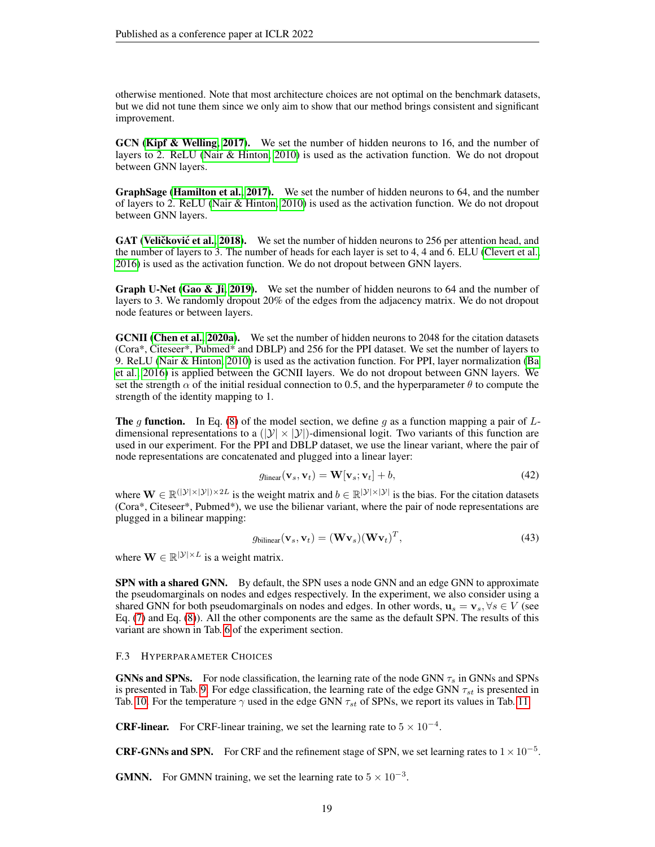otherwise mentioned. Note that most architecture choices are not optimal on the benchmark datasets, but we did not tune them since we only aim to show that our method brings consistent and significant improvement.

GCN [\(Kipf & Welling, 2017\)](#page-9-0). We set the number of hidden neurons to 16, and the number of layers to 2. ReLU [\(Nair & Hinton, 2010\)](#page-10-21) is used as the activation function. We do not dropout between GNN layers.

GraphSage [\(Hamilton et al., 2017\)](#page-9-1). We set the number of hidden neurons to 64, and the number of layers to 2. ReLU [\(Nair & Hinton, 2010\)](#page-10-21) is used as the activation function. We do not dropout between GNN layers.

GAT (Veličković et al., [2018\)](#page-10-0). We set the number of hidden neurons to 256 per attention head, and the number of layers to 3. The number of heads for each layer is set to 4, 4 and 6. ELU [\(Clevert et al.,](#page-9-20) [2016\)](#page-9-20) is used as the activation function. We do not dropout between GNN layers.

**Graph U-Net [\(Gao & Ji, 2019\)](#page-9-6).** We set the number of hidden neurons to 64 and the number of layers to 3. We randomly dropout 20% of the edges from the adjacency matrix. We do not dropout node features or between layers.

GCNII [\(Chen et al., 2020a\)](#page-9-10). We set the number of hidden neurons to 2048 for the citation datasets (Cora\*, Citeseer\*, Pubmed\* and DBLP) and 256 for the PPI dataset. We set the number of layers to 9. ReLU [\(Nair & Hinton, 2010\)](#page-10-21) is used as the activation function. For PPI, layer normalization [\(Ba](#page-9-21) [et al., 2016\)](#page-9-21) is applied between the GCNII layers. We do not dropout between GNN layers. We set the strength  $\alpha$  of the initial residual connection to 0.5, and the hyperparameter  $\theta$  to compute the strength of the identity mapping to 1.

**The** g function. In Eq. [\(8\)](#page-4-4) of the model section, we define g as a function mapping a pair of Ldimensional representations to a  $(|\mathcal{Y}| \times |\mathcal{Y}|)$ -dimensional logit. Two variants of this function are used in our experiment. For the PPI and DBLP dataset, we use the linear variant, where the pair of node representations are concatenated and plugged into a linear layer:

$$
g_{\text{linear}}(\mathbf{v}_s, \mathbf{v}_t) = \mathbf{W}[\mathbf{v}_s; \mathbf{v}_t] + b,\tag{42}
$$

where  $\mathbf{W} \in \mathbb{R}^{(|\mathcal{Y}| \times |\mathcal{Y}|) \times 2L}$  is the weight matrix and  $b \in \mathbb{R}^{|\mathcal{Y}| \times |\mathcal{Y}|}$  is the bias. For the citation datasets (Cora\*, Citeseer\*, Pubmed\*), we use the bilienar variant, where the pair of node representations are plugged in a bilinear mapping:

$$
g_{\text{bilinear}}(\mathbf{v}_s, \mathbf{v}_t) = (\mathbf{W}\mathbf{v}_s)(\mathbf{W}\mathbf{v}_t)^T, \tag{43}
$$

where  $\mathbf{W} \in \mathbb{R}^{|\mathcal{Y}| \times L}$  is a weight matrix.

SPN with a shared GNN. By default, the SPN uses a node GNN and an edge GNN to approximate the pseudomarginals on nodes and edges respectively. In the experiment, we also consider using a shared GNN for both pseudomarginals on nodes and edges. In other words,  $\mathbf{u}_s = \mathbf{v}_s, \forall s \in V$  (see Eq. [\(7\)](#page-4-3) and Eq. [\(8\)](#page-4-4)). All the other components are the same as the default SPN. The results of this variant are shown in Tab. [6](#page-8-0) of the experiment section.

## F.3 HYPERPARAMETER CHOICES

GNNs and SPNs. For node classification, the learning rate of the node GNN  $\tau_s$  in GNNs and SPNs is presented in Tab. [9.](#page-19-1) For edge classification, the learning rate of the edge GNN  $\tau_{st}$  is presented in Tab. [10.](#page-19-2) For the temperature  $\gamma$  used in the edge GNN  $\tau_{st}$  of SPNs, we report its values in Tab. [11.](#page-19-3)

**CRF-linear.** For CRF-linear training, we set the learning rate to  $5 \times 10^{-4}$ .

**CRF-GNNs and SPN.** For CRF and the refinement stage of SPN, we set learning rates to  $1 \times 10^{-5}$ .

**GMNN.** For GMNN training, we set the learning rate to  $5 \times 10^{-3}$ .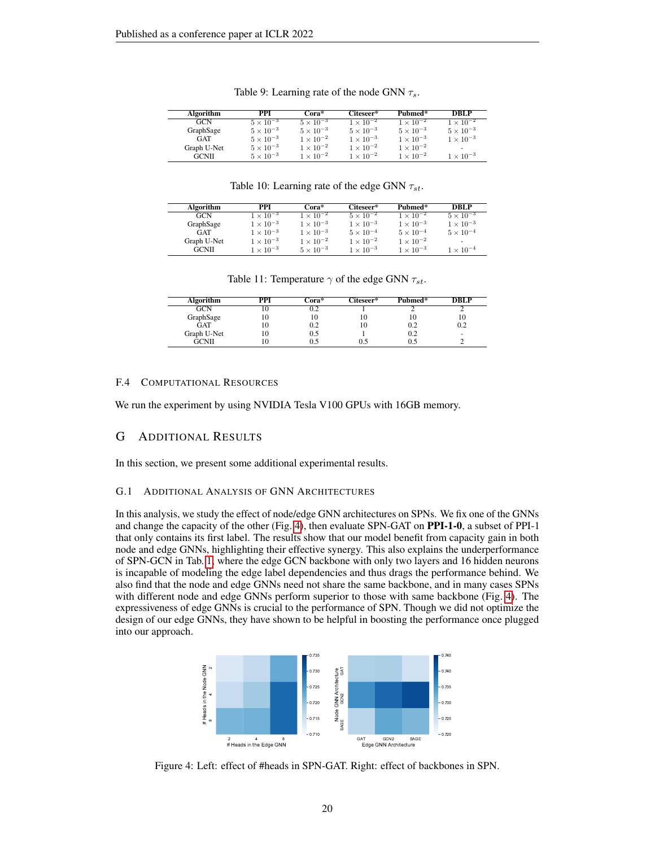<span id="page-19-1"></span>

| Algorithm    | PPI                | $_{\rm Cora*}$     | Citeseer*          | Pubmed*            | DRL P              |
|--------------|--------------------|--------------------|--------------------|--------------------|--------------------|
| GCN          | $5 \times 10^{-3}$ | $5 \times 10^{-3}$ | $1 \times 10^{-2}$ | $1 \times 10^{-2}$ | $1 \times 10^{-2}$ |
| GraphSage    | $5 \times 10^{-3}$ | $5 \times 10^{-3}$ | $5 \times 10^{-3}$ | $5 \times 10^{-3}$ | $5 \times 10^{-3}$ |
| GAT          | $5 \times 10^{-3}$ | $1 \times 10^{-2}$ | $1 \times 10^{-3}$ | $1 \times 10^{-3}$ | $1 \times 10^{-3}$ |
| Graph U-Net  | $5 \times 10^{-3}$ | $1 \times 10^{-2}$ | $1 \times 10^{-2}$ | $1 \times 10^{-2}$ | -                  |
| <b>GCNII</b> | $5 \times 10^{-3}$ | $1 \times 10^{-2}$ | $1 \times 10^{-2}$ | $1 \times 10^{-2}$ | $1 \times 10^{-3}$ |

Table 9: Learning rate of the node GNN  $\tau_s$ .

Table 10: Learning rate of the edge GNN  $\tau_{st}$ .

<span id="page-19-2"></span>

| Algorithm    | PPI                | $_{\rm Cora*}$     | Citeseer*          | Pubmed*                       | DRL P                    |
|--------------|--------------------|--------------------|--------------------|-------------------------------|--------------------------|
| <b>GCN</b>   | $1 \times 10^{-3}$ | $1 \times 10^{-2}$ | $5 \times 10^{-2}$ | $1 \times \overline{10^{-2}}$ | $5 \times 10^{-3}$       |
| GraphSage    | $1 \times 10^{-3}$ | $1 \times 10^{-3}$ | $1 \times 10^{-3}$ | $1 \times 10^{-3}$            | $1 \times 10^{-3}$       |
| GAT          | $1 \times 10^{-3}$ | $1 \times 10^{-3}$ | $5 \times 10^{-4}$ | $5 \times 10^{-4}$            | $5 \times 10^{-4}$       |
| Graph U-Net  | $1 \times 10^{-3}$ | $1 \times 10^{-2}$ | $1 \times 10^{-2}$ | $1 \times 10^{-2}$            | $\overline{\phantom{a}}$ |
| <b>GCNII</b> | $1 \times 10^{-3}$ | $5 \times 10^{-3}$ | $1 \times 10^{-3}$ | $1 \times 10^{-3}$            | $1 \times 10^{-4}$       |

Table 11: Temperature  $\gamma$  of the edge GNN  $\tau_{st}$ .

<span id="page-19-3"></span>

| Algorithm    | PPI | Cora* | Citeseer* | Pubmed* | <b>DBLP</b> |
|--------------|-----|-------|-----------|---------|-------------|
| GCN          | 10  | 0.2   |           |         |             |
| GraphSage    | 10  | 10    | 10        | 1 O     | 10          |
| <b>GAT</b>   | 10  | 0.2   | 10        | 0.2     |             |
| Graph U-Net  | 10  | 0.5   |           | 0.2     | ۰           |
| <b>GCNII</b> | 10  | 0.5   | J.5       |         |             |

## F.4 COMPUTATIONAL RESOURCES

We run the experiment by using NVIDIA Tesla V100 GPUs with 16GB memory.

# G ADDITIONAL RESULTS

In this section, we present some additional experimental results.

#### <span id="page-19-0"></span>G.1 ADDITIONAL ANALYSIS OF GNN ARCHITECTURES

In this analysis, we study the effect of node/edge GNN architectures on SPNs. We fix one of the GNNs and change the capacity of the other (Fig. [4\)](#page-19-4), then evaluate SPN-GAT on PPI-1-0, a subset of PPI-1 that only contains its first label. The results show that our model benefit from capacity gain in both node and edge GNNs, highlighting their effective synergy. This also explains the underperformance of SPN-GCN in Tab. [1,](#page-7-1) where the edge GCN backbone with only two layers and 16 hidden neurons is incapable of modeling the edge label dependencies and thus drags the performance behind. We also find that the node and edge GNNs need not share the same backbone, and in many cases SPNs with different node and edge GNNs perform superior to those with same backbone (Fig. [4\)](#page-19-4). The expressiveness of edge GNNs is crucial to the performance of SPN. Though we did not optimize the design of our edge GNNs, they have shown to be helpful in boosting the performance once plugged into our approach.

<span id="page-19-4"></span>

Figure 4: Left: effect of #heads in SPN-GAT. Right: effect of backbones in SPN.